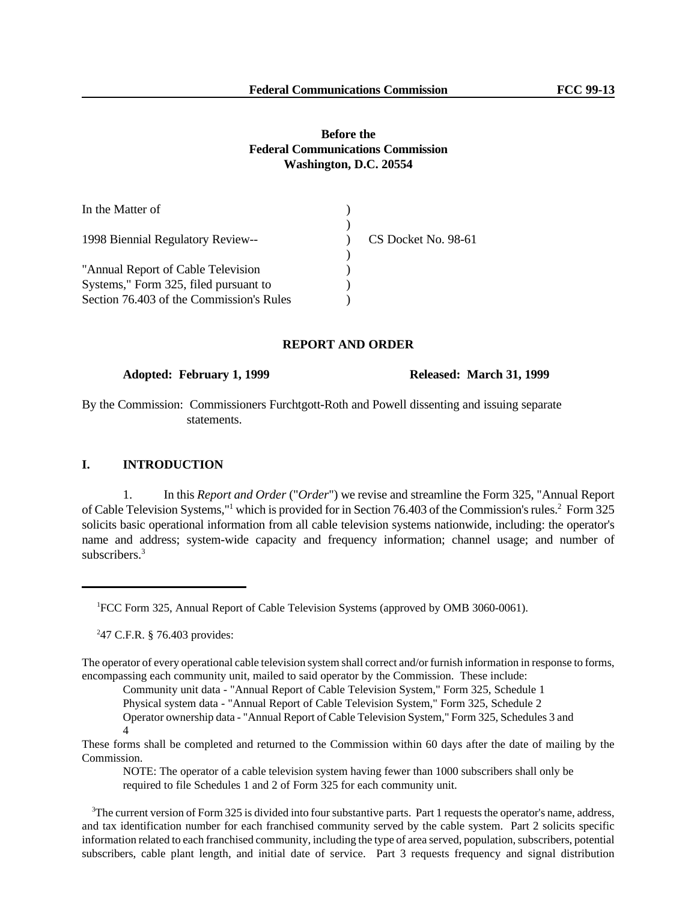# **Before the Federal Communications Commission Washington, D.C. 20554**

| In the Matter of                         |                     |
|------------------------------------------|---------------------|
|                                          |                     |
| 1998 Biennial Regulatory Review--        | CS Docket No. 98-61 |
| "Annual Report of Cable Television"      |                     |
| Systems," Form 325, filed pursuant to    |                     |
| Section 76.403 of the Commission's Rules |                     |

#### **REPORT AND ORDER**

#### **Adopted: February 1, 1999 Released: March 31, 1999**

By the Commission: Commissioners Furchtgott-Roth and Powell dissenting and issuing separate statements.

#### **I. INTRODUCTION**

1. In this *Report and Order* ("*Order*") we revise and streamline the Form 325, "Annual Report of Cable Television Systems,"<sup>1</sup> which is provided for in Section 76.403 of the Commission's rules.<sup>2</sup> Form 325 solicits basic operational information from all cable television systems nationwide, including: the operator's name and address; system-wide capacity and frequency information; channel usage; and number of subscribers.<sup>3</sup>

<sup>2</sup>47 C.F.R. § 76.403 provides:

The operator of every operational cable television system shall correct and/or furnish information in response to forms, encompassing each community unit, mailed to said operator by the Commission. These include:

Community unit data - "Annual Report of Cable Television System," Form 325, Schedule 1

Physical system data - "Annual Report of Cable Television System," Form 325, Schedule 2

Operator ownership data - "Annual Report of Cable Television System," Form 325, Schedules 3 and 4

These forms shall be completed and returned to the Commission within 60 days after the date of mailing by the Commission.

NOTE: The operator of a cable television system having fewer than 1000 subscribers shall only be required to file Schedules 1 and 2 of Form 325 for each community unit.

<sup>3</sup>The current version of Form 325 is divided into four substantive parts. Part 1 requests the operator's name, address, and tax identification number for each franchised community served by the cable system. Part 2 solicits specific information related to each franchised community, including the type of area served, population, subscribers, potential subscribers, cable plant length, and initial date of service. Part 3 requests frequency and signal distribution

<sup>1</sup>FCC Form 325, Annual Report of Cable Television Systems (approved by OMB 3060-0061).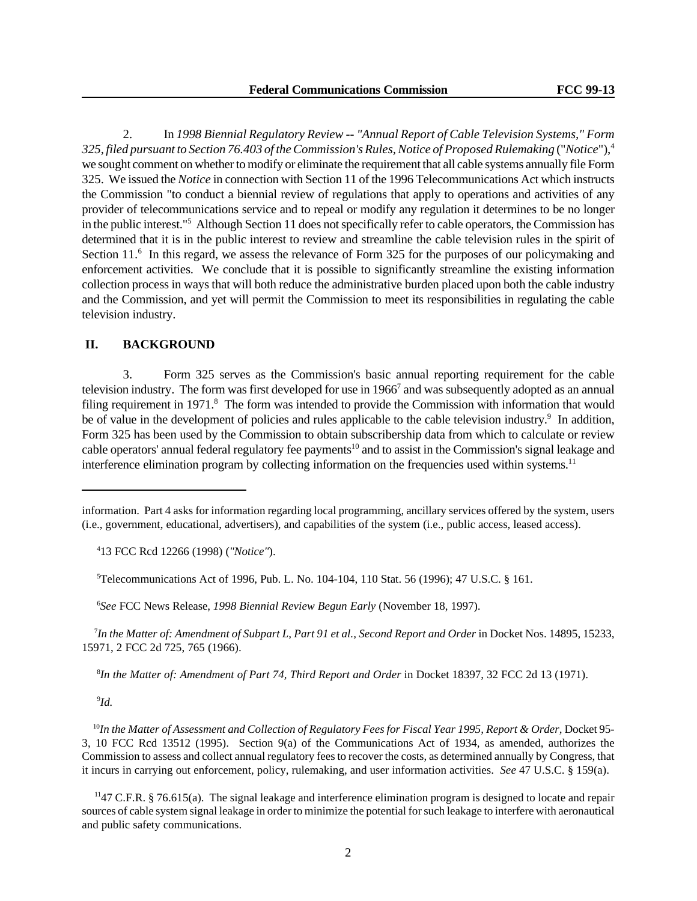2. In *1998 Biennial Regulatory Review -- "Annual Report of Cable Television Systems," Form 325, filed pursuant to Section 76.403 of the Commission's Rules, Notice of Proposed Rulemaking* ("*Notice*"),<sup>4</sup> we sought comment on whether to modify or eliminate the requirement that all cable systems annually file Form 325. We issued the *Notice* in connection with Section 11 of the 1996 Telecommunications Act which instructs the Commission "to conduct a biennial review of regulations that apply to operations and activities of any provider of telecommunications service and to repeal or modify any regulation it determines to be no longer in the public interest."<sup>5</sup> Although Section 11 does not specifically refer to cable operators, the Commission has determined that it is in the public interest to review and streamline the cable television rules in the spirit of Section 11.<sup>6</sup> In this regard, we assess the relevance of Form 325 for the purposes of our policymaking and enforcement activities. We conclude that it is possible to significantly streamline the existing information collection process in ways that will both reduce the administrative burden placed upon both the cable industry and the Commission, and yet will permit the Commission to meet its responsibilities in regulating the cable television industry.

# **II. BACKGROUND**

3. Form 325 serves as the Commission's basic annual reporting requirement for the cable television industry. The form was first developed for use in 1966<sup>7</sup> and was subsequently adopted as an annual filing requirement in 1971.<sup>8</sup> The form was intended to provide the Commission with information that would be of value in the development of policies and rules applicable to the cable television industry.<sup>9</sup> In addition, Form 325 has been used by the Commission to obtain subscribership data from which to calculate or review cable operators' annual federal regulatory fee payments<sup>10</sup> and to assist in the Commission's signal leakage and interference elimination program by collecting information on the frequencies used within systems.<sup>11</sup>

<sup>5</sup>Telecommunications Act of 1996, Pub. L. No. 104-104, 110 Stat. 56 (1996); 47 U.S.C. § 161.

6 *See* FCC News Release, *1998 Biennial Review Begun Early* (November 18, 1997).

7 *In the Matter of: Amendment of Subpart L, Part 91 et al., Second Report and Order* in Docket Nos. 14895, 15233, 15971, 2 FCC 2d 725, 765 (1966).

8 *In the Matter of: Amendment of Part 74, Third Report and Order* in Docket 18397, 32 FCC 2d 13 (1971).

9 *Id.*

<sup>10</sup>In the Matter of Assessment and Collection of Regulatory Fees for Fiscal Year 1995, Report & Order, Docket 95-3, 10 FCC Rcd 13512 (1995). Section 9(a) of the Communications Act of 1934, as amended, authorizes the Commission to assess and collect annual regulatory fees to recover the costs, as determined annually by Congress, that it incurs in carrying out enforcement, policy, rulemaking, and user information activities. *See* 47 U.S.C. § 159(a).

 $1147$  C.F.R. § 76.615(a). The signal leakage and interference elimination program is designed to locate and repair sources of cable system signal leakage in order to minimize the potential for such leakage to interfere with aeronautical and public safety communications.

information. Part 4 asks for information regarding local programming, ancillary services offered by the system, users (i.e., government, educational, advertisers), and capabilities of the system (i.e., public access, leased access).

<sup>4</sup> 13 FCC Rcd 12266 (1998) (*"Notice"*).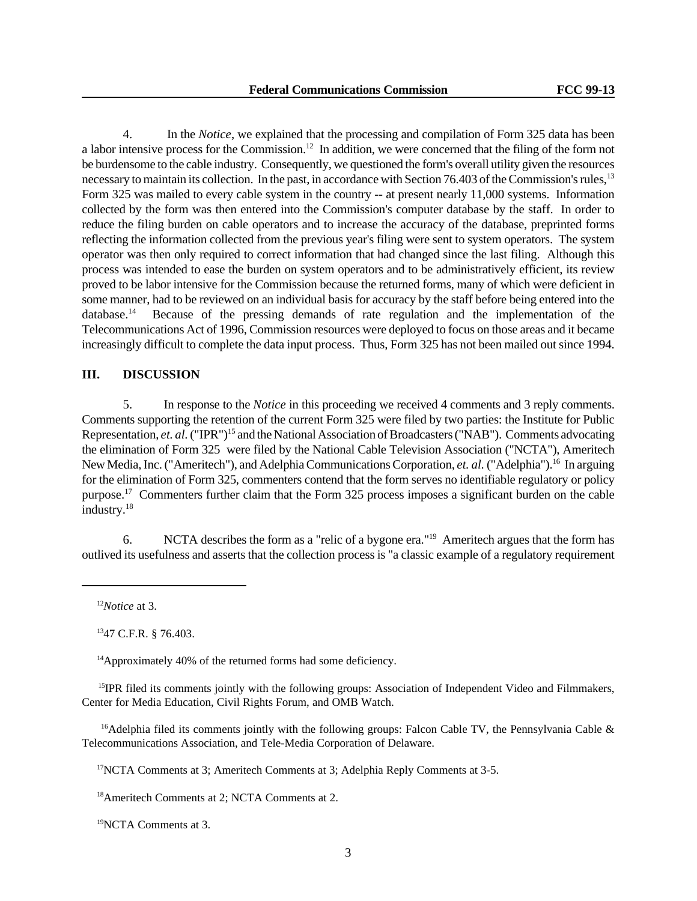4. In the *Notice*, we explained that the processing and compilation of Form 325 data has been a labor intensive process for the Commission.<sup>12</sup> In addition, we were concerned that the filing of the form not be burdensome to the cable industry. Consequently, we questioned the form's overall utility given the resources necessary to maintain its collection. In the past, in accordance with Section 76.403 of the Commission's rules,<sup>13</sup> Form 325 was mailed to every cable system in the country -- at present nearly 11,000 systems. Information collected by the form was then entered into the Commission's computer database by the staff. In order to reduce the filing burden on cable operators and to increase the accuracy of the database, preprinted forms reflecting the information collected from the previous year's filing were sent to system operators. The system operator was then only required to correct information that had changed since the last filing. Although this process was intended to ease the burden on system operators and to be administratively efficient, its review proved to be labor intensive for the Commission because the returned forms, many of which were deficient in some manner, had to be reviewed on an individual basis for accuracy by the staff before being entered into the database.<sup>14</sup> Because of the pressing demands of rate regulation and the implementation of the Telecommunications Act of 1996, Commission resources were deployed to focus on those areas and it became increasingly difficult to complete the data input process. Thus, Form 325 has not been mailed out since 1994.

## **III. DISCUSSION**

5. In response to the *Notice* in this proceeding we received 4 comments and 3 reply comments. Comments supporting the retention of the current Form 325 were filed by two parties: the Institute for Public Representation, *et. al.* ("IPR")<sup>15</sup> and the National Association of Broadcasters ("NAB"). Comments advocating the elimination of Form 325 were filed by the National Cable Television Association ("NCTA"), Ameritech New Media, Inc. ("Ameritech"), and Adelphia Communications Corporation, *et. al.* ("Adelphia").<sup>16</sup> In arguing for the elimination of Form 325, commenters contend that the form serves no identifiable regulatory or policy purpose.<sup>17</sup> Commenters further claim that the Form 325 process imposes a significant burden on the cable industry.<sup>18</sup>

6. NCTA describes the form as a "relic of a bygone era."<sup>19</sup> Ameritech argues that the form has outlived its usefulness and asserts that the collection process is "a classic example of a regulatory requirement

<sup>13</sup>47 C.F.R. § 76.403.

<sup>14</sup>Approximately 40% of the returned forms had some deficiency.

<sup>15</sup>IPR filed its comments jointly with the following groups: Association of Independent Video and Filmmakers, Center for Media Education, Civil Rights Forum, and OMB Watch.

<sup>16</sup>Adelphia filed its comments jointly with the following groups: Falcon Cable TV, the Pennsylvania Cable  $\&$ Telecommunications Association, and Tele-Media Corporation of Delaware.

<sup>17</sup>NCTA Comments at 3; Ameritech Comments at 3; Adelphia Reply Comments at 3-5.

<sup>18</sup>Ameritech Comments at 2; NCTA Comments at 2.

<sup>19</sup>NCTA Comments at 3.

<sup>12</sup>*Notice* at 3.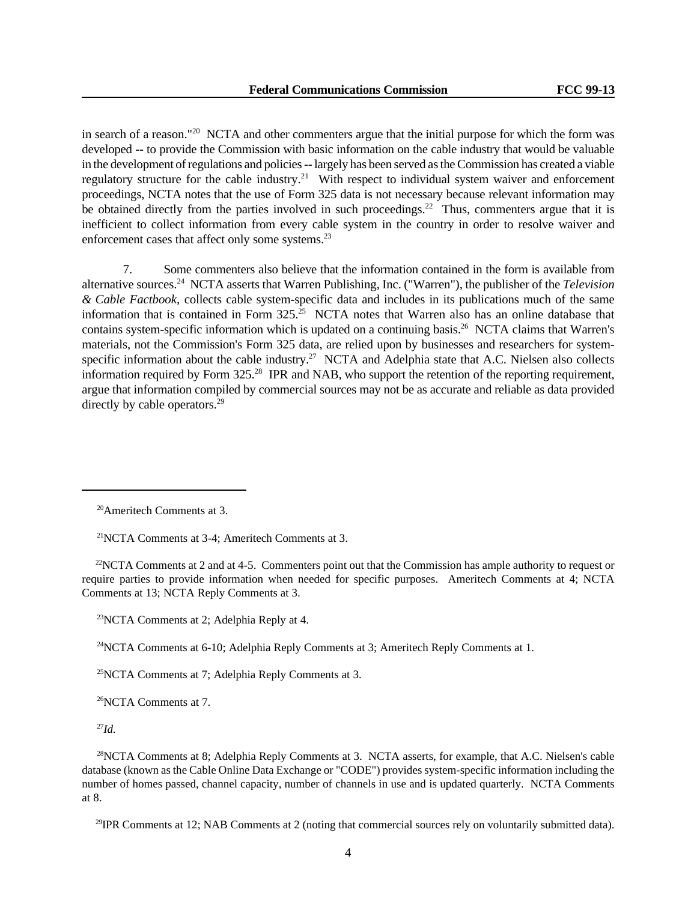in search of a reason."<sup>20</sup> NCTA and other commenters argue that the initial purpose for which the form was developed -- to provide the Commission with basic information on the cable industry that would be valuable in the development of regulations and policies -- largely has been served as the Commission has created a viable regulatory structure for the cable industry.<sup>21</sup> With respect to individual system waiver and enforcement proceedings, NCTA notes that the use of Form 325 data is not necessary because relevant information may be obtained directly from the parties involved in such proceedings.<sup>22</sup> Thus, commenters argue that it is inefficient to collect information from every cable system in the country in order to resolve waiver and enforcement cases that affect only some systems.<sup>23</sup>

7. Some commenters also believe that the information contained in the form is available from alternative sources.<sup>24</sup> NCTA asserts that Warren Publishing, Inc. ("Warren"), the publisher of the *Television & Cable Factbook*, collects cable system-specific data and includes in its publications much of the same information that is contained in Form  $325$ <sup>25</sup> NCTA notes that Warren also has an online database that contains system-specific information which is updated on a continuing basis.<sup>26</sup> NCTA claims that Warren's materials, not the Commission's Form 325 data, are relied upon by businesses and researchers for systemspecific information about the cable industry.<sup>27</sup> NCTA and Adelphia state that A.C. Nielsen also collects information required by Form 325.<sup>28</sup> IPR and NAB, who support the retention of the reporting requirement, argue that information compiled by commercial sources may not be as accurate and reliable as data provided directly by cable operators.<sup>29</sup>

<sup>23</sup>NCTA Comments at 2; Adelphia Reply at 4.

<sup>24</sup>NCTA Comments at  $6-10$ ; Adelphia Reply Comments at 3; Ameritech Reply Comments at 1.

<sup>25</sup>NCTA Comments at 7; Adelphia Reply Comments at 3.

<sup>26</sup>NCTA Comments at 7.

<sup>27</sup>*Id.*

<sup>28</sup>NCTA Comments at 8; Adelphia Reply Comments at 3. NCTA asserts, for example, that A.C. Nielsen's cable database (known as the Cable Online Data Exchange or "CODE") provides system-specific information including the number of homes passed, channel capacity, number of channels in use and is updated quarterly. NCTA Comments at 8.

<sup>29</sup>IPR Comments at 12; NAB Comments at 2 (noting that commercial sources rely on voluntarily submitted data).

<sup>20</sup>Ameritech Comments at 3.

<sup>21</sup>NCTA Comments at 3-4; Ameritech Comments at 3.

<sup>&</sup>lt;sup>22</sup>NCTA Comments at 2 and at 4-5. Commenters point out that the Commission has ample authority to request or require parties to provide information when needed for specific purposes. Ameritech Comments at 4; NCTA Comments at 13; NCTA Reply Comments at 3.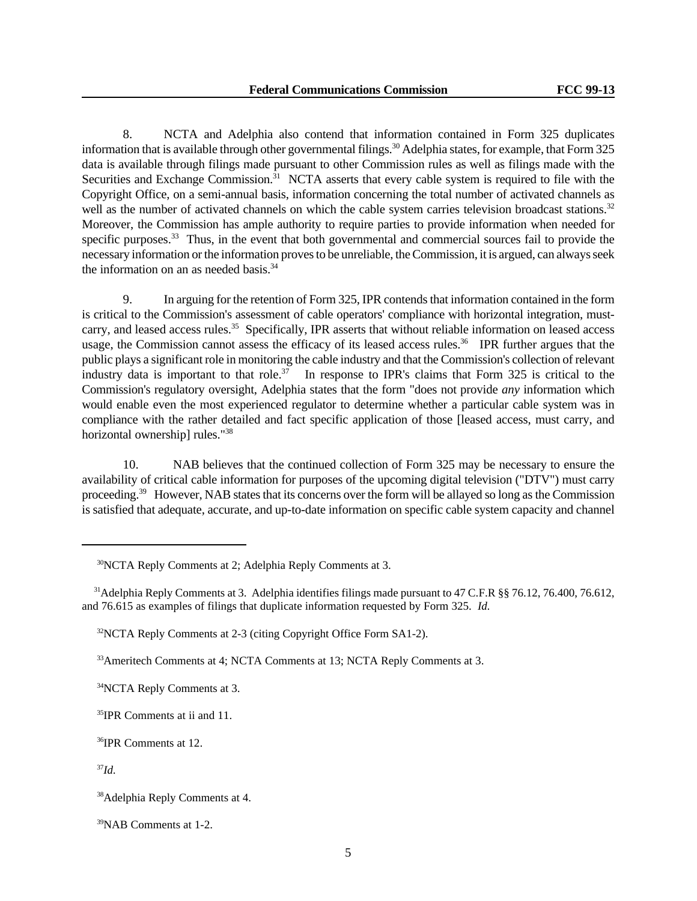8. NCTA and Adelphia also contend that information contained in Form 325 duplicates information that is available through other governmental filings.<sup>30</sup> Adelphia states, for example, that Form 325 data is available through filings made pursuant to other Commission rules as well as filings made with the Securities and Exchange Commission.<sup>31</sup> NCTA asserts that every cable system is required to file with the Copyright Office, on a semi-annual basis, information concerning the total number of activated channels as well as the number of activated channels on which the cable system carries television broadcast stations.<sup>32</sup> Moreover, the Commission has ample authority to require parties to provide information when needed for specific purposes.<sup>33</sup> Thus, in the event that both governmental and commercial sources fail to provide the necessary information or the information proves to be unreliable, the Commission, it is argued, can always seek the information on an as needed basis.<sup>34</sup>

9. In arguing for the retention of Form 325, IPR contends that information contained in the form is critical to the Commission's assessment of cable operators' compliance with horizontal integration, mustcarry, and leased access rules.<sup>35</sup> Specifically, IPR asserts that without reliable information on leased access usage, the Commission cannot assess the efficacy of its leased access rules.<sup>36</sup> IPR further argues that the public plays a significant role in monitoring the cable industry and that the Commission's collection of relevant industry data is important to that role.<sup>37</sup> In response to IPR's claims that Form 325 is critical to the Commission's regulatory oversight, Adelphia states that the form "does not provide *any* information which would enable even the most experienced regulator to determine whether a particular cable system was in compliance with the rather detailed and fact specific application of those [leased access, must carry, and horizontal ownership] rules."<sup>38</sup>

10. NAB believes that the continued collection of Form 325 may be necessary to ensure the availability of critical cable information for purposes of the upcoming digital television ("DTV") must carry proceeding.<sup>39</sup> However, NAB states that its concerns over the form will be allayed so long as the Commission is satisfied that adequate, accurate, and up-to-date information on specific cable system capacity and channel

<sup>33</sup>Ameritech Comments at 4; NCTA Comments at 13; NCTA Reply Comments at 3.

<sup>34</sup>NCTA Reply Comments at 3.

<sup>35</sup>IPR Comments at ii and 11.

<sup>36</sup>IPR Comments at 12.

<sup>37</sup>*Id.*

<sup>30</sup>NCTA Reply Comments at 2; Adelphia Reply Comments at 3.

<sup>&</sup>lt;sup>31</sup>Adelphia Reply Comments at 3. Adelphia identifies filings made pursuant to 47 C.F.R §§ 76.12, 76.400, 76.612, and 76.615 as examples of filings that duplicate information requested by Form 325. *Id.*

<sup>32</sup>NCTA Reply Comments at 2-3 (citing Copyright Office Form SA1-2).

<sup>38</sup>Adelphia Reply Comments at 4.

<sup>39</sup>NAB Comments at 1-2.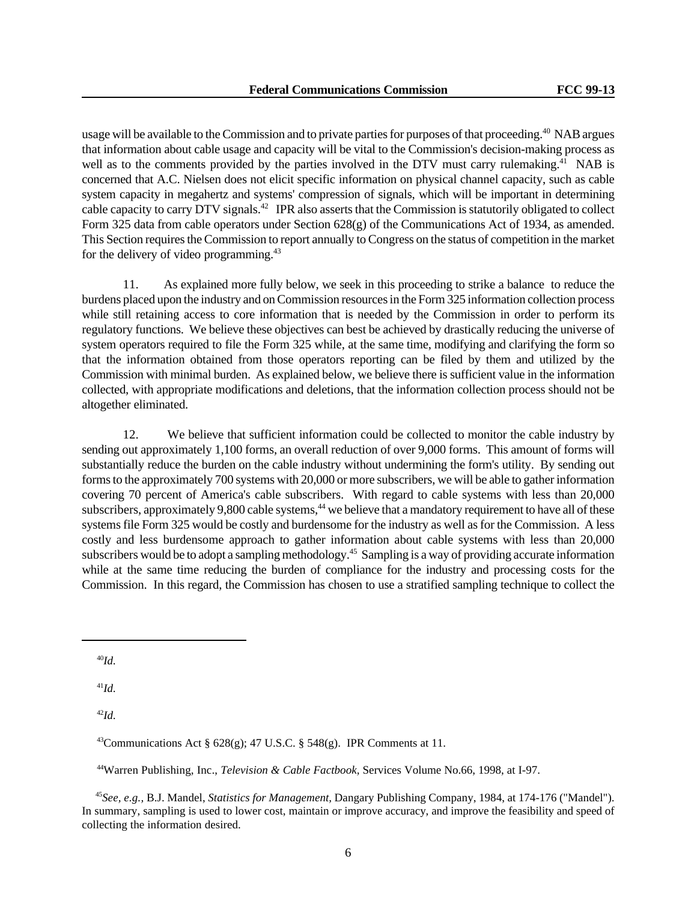usage will be available to the Commission and to private parties for purposes of that proceeding.<sup>40</sup> NAB argues that information about cable usage and capacity will be vital to the Commission's decision-making process as well as to the comments provided by the parties involved in the DTV must carry rulemaking.<sup>41</sup> NAB is concerned that A.C. Nielsen does not elicit specific information on physical channel capacity, such as cable system capacity in megahertz and systems' compression of signals, which will be important in determining cable capacity to carry DTV signals.<sup>42</sup> IPR also asserts that the Commission is statutorily obligated to collect Form 325 data from cable operators under Section 628(g) of the Communications Act of 1934, as amended. This Section requires the Commission to report annually to Congress on the status of competition in the market for the delivery of video programming.<sup>43</sup>

11. As explained more fully below, we seek in this proceeding to strike a balance to reduce the burdens placed upon the industry and on Commission resources in the Form 325 information collection process while still retaining access to core information that is needed by the Commission in order to perform its regulatory functions. We believe these objectives can best be achieved by drastically reducing the universe of system operators required to file the Form 325 while, at the same time, modifying and clarifying the form so that the information obtained from those operators reporting can be filed by them and utilized by the Commission with minimal burden. As explained below, we believe there is sufficient value in the information collected, with appropriate modifications and deletions, that the information collection process should not be altogether eliminated.

12. We believe that sufficient information could be collected to monitor the cable industry by sending out approximately 1,100 forms, an overall reduction of over 9,000 forms. This amount of forms will substantially reduce the burden on the cable industry without undermining the form's utility. By sending out forms to the approximately 700 systems with 20,000 or more subscribers, we will be able to gather information covering 70 percent of America's cable subscribers. With regard to cable systems with less than 20,000 subscribers, approximately 9,800 cable systems,<sup>44</sup> we believe that a mandatory requirement to have all of these systems file Form 325 would be costly and burdensome for the industry as well as for the Commission. A less costly and less burdensome approach to gather information about cable systems with less than 20,000 subscribers would be to adopt a sampling methodology.<sup>45</sup> Sampling is a way of providing accurate information while at the same time reducing the burden of compliance for the industry and processing costs for the Commission. In this regard, the Commission has chosen to use a stratified sampling technique to collect the

<sup>40</sup>*Id.*

<sup>41</sup>*Id.*

<sup>42</sup>*Id.*

<sup>43</sup>Communications Act §  $628(g)$ ; 47 U.S.C. § 548(g). IPR Comments at 11.

<sup>44</sup>Warren Publishing, Inc., *Television & Cable Factbook,* Services Volume No.66, 1998, at I-97.

<sup>45</sup>*See, e.g.,* B.J. Mandel, *Statistics for Management,* Dangary Publishing Company, 1984, at 174-176 ("Mandel"). In summary, sampling is used to lower cost, maintain or improve accuracy, and improve the feasibility and speed of collecting the information desired.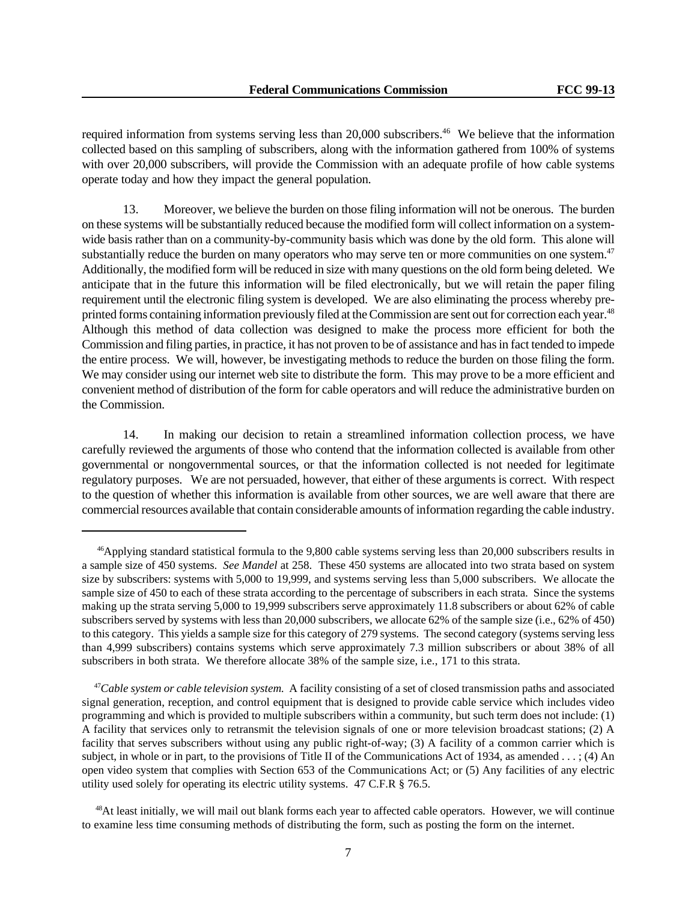required information from systems serving less than 20,000 subscribers.<sup>46</sup> We believe that the information collected based on this sampling of subscribers, along with the information gathered from 100% of systems with over 20,000 subscribers, will provide the Commission with an adequate profile of how cable systems operate today and how they impact the general population.

13. Moreover, we believe the burden on those filing information will not be onerous. The burden on these systems will be substantially reduced because the modified form will collect information on a systemwide basis rather than on a community-by-community basis which was done by the old form. This alone will substantially reduce the burden on many operators who may serve ten or more communities on one system.<sup>47</sup> Additionally, the modified form will be reduced in size with many questions on the old form being deleted. We anticipate that in the future this information will be filed electronically, but we will retain the paper filing requirement until the electronic filing system is developed. We are also eliminating the process whereby preprinted forms containing information previously filed at the Commission are sent out for correction each year.<sup>48</sup> Although this method of data collection was designed to make the process more efficient for both the Commission and filing parties, in practice, it has not proven to be of assistance and has in fact tended to impede the entire process. We will, however, be investigating methods to reduce the burden on those filing the form. We may consider using our internet web site to distribute the form. This may prove to be a more efficient and convenient method of distribution of the form for cable operators and will reduce the administrative burden on the Commission.

14. In making our decision to retain a streamlined information collection process, we have carefully reviewed the arguments of those who contend that the information collected is available from other governmental or nongovernmental sources, or that the information collected is not needed for legitimate regulatory purposes. We are not persuaded, however, that either of these arguments is correct. With respect to the question of whether this information is available from other sources, we are well aware that there are commercial resources available that contain considerable amounts of information regarding the cable industry.

 $^{46}$ Applying standard statistical formula to the 9,800 cable systems serving less than 20,000 subscribers results in a sample size of 450 systems. *See Mandel* at 258. These 450 systems are allocated into two strata based on system size by subscribers: systems with 5,000 to 19,999, and systems serving less than 5,000 subscribers. We allocate the sample size of 450 to each of these strata according to the percentage of subscribers in each strata. Since the systems making up the strata serving 5,000 to 19,999 subscribers serve approximately 11.8 subscribers or about 62% of cable subscribers served by systems with less than 20,000 subscribers, we allocate 62% of the sample size (i.e., 62% of 450) to this category. This yields a sample size for this category of 279 systems. The second category (systems serving less than 4,999 subscribers) contains systems which serve approximately 7.3 million subscribers or about 38% of all subscribers in both strata. We therefore allocate 38% of the sample size, i.e., 171 to this strata.

<sup>47</sup>*Cable system or cable television system.* A facility consisting of a set of closed transmission paths and associated signal generation, reception, and control equipment that is designed to provide cable service which includes video programming and which is provided to multiple subscribers within a community, but such term does not include: (1) A facility that services only to retransmit the television signals of one or more television broadcast stations; (2) A facility that serves subscribers without using any public right-of-way; (3) A facility of a common carrier which is subject, in whole or in part, to the provisions of Title II of the Communications Act of 1934, as amended . . . ; (4) An open video system that complies with Section 653 of the Communications Act; or (5) Any facilities of any electric utility used solely for operating its electric utility systems. 47 C.F.R § 76.5.

<sup>&</sup>lt;sup>48</sup>At least initially, we will mail out blank forms each year to affected cable operators. However, we will continue to examine less time consuming methods of distributing the form, such as posting the form on the internet.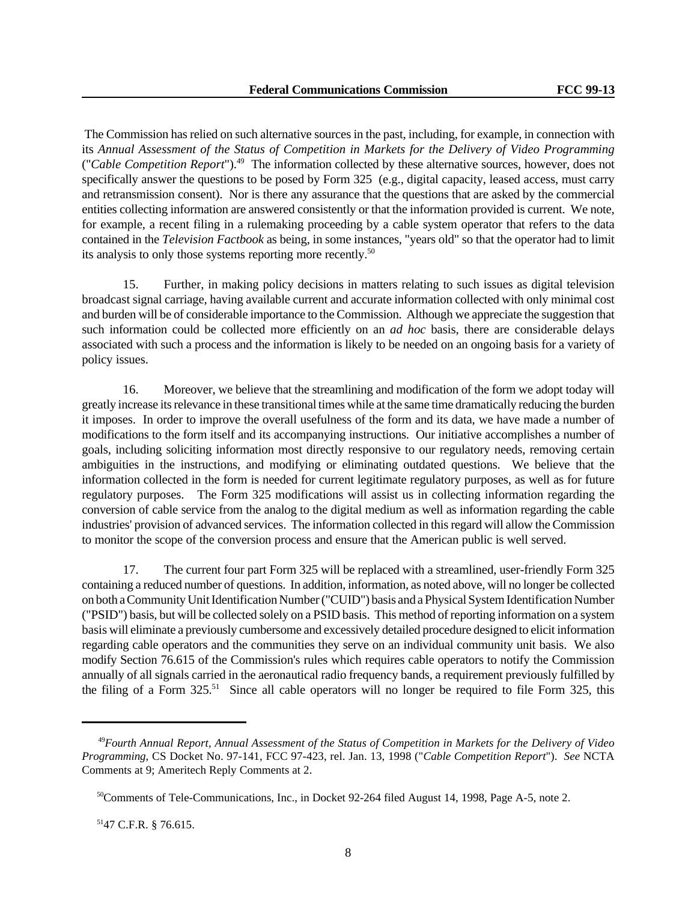The Commission has relied on such alternative sources in the past, including, for example, in connection with its *Annual Assessment of the Status of Competition in Markets for the Delivery of Video Programming* ("*Cable Competition Report*").<sup>49</sup> The information collected by these alternative sources, however, does not specifically answer the questions to be posed by Form 325 (e.g., digital capacity, leased access, must carry and retransmission consent). Nor is there any assurance that the questions that are asked by the commercial entities collecting information are answered consistently or that the information provided is current. We note, for example, a recent filing in a rulemaking proceeding by a cable system operator that refers to the data contained in the *Television Factbook* as being, in some instances, "years old" so that the operator had to limit its analysis to only those systems reporting more recently.<sup>50</sup>

15. Further, in making policy decisions in matters relating to such issues as digital television broadcast signal carriage, having available current and accurate information collected with only minimal cost and burden will be of considerable importance to the Commission. Although we appreciate the suggestion that such information could be collected more efficiently on an *ad hoc* basis, there are considerable delays associated with such a process and the information is likely to be needed on an ongoing basis for a variety of policy issues.

16. Moreover, we believe that the streamlining and modification of the form we adopt today will greatly increase its relevance in these transitional times while at the same time dramatically reducing the burden it imposes. In order to improve the overall usefulness of the form and its data, we have made a number of modifications to the form itself and its accompanying instructions. Our initiative accomplishes a number of goals, including soliciting information most directly responsive to our regulatory needs, removing certain ambiguities in the instructions, and modifying or eliminating outdated questions. We believe that the information collected in the form is needed for current legitimate regulatory purposes, as well as for future regulatory purposes. The Form 325 modifications will assist us in collecting information regarding the conversion of cable service from the analog to the digital medium as well as information regarding the cable industries' provision of advanced services. The information collected in this regard will allow the Commission to monitor the scope of the conversion process and ensure that the American public is well served.

17. The current four part Form 325 will be replaced with a streamlined, user-friendly Form 325 containing a reduced number of questions. In addition, information, as noted above, will no longer be collected on both a Community Unit Identification Number ("CUID") basis and a Physical System Identification Number ("PSID") basis, but will be collected solely on a PSID basis. This method of reporting information on a system basis will eliminate a previously cumbersome and excessively detailed procedure designed to elicit information regarding cable operators and the communities they serve on an individual community unit basis. We also modify Section 76.615 of the Commission's rules which requires cable operators to notify the Commission annually of all signals carried in the aeronautical radio frequency bands, a requirement previously fulfilled by the filing of a Form  $325$ <sup>51</sup>. Since all cable operators will no longer be required to file Form  $325$ , this

<sup>49</sup>*Fourth Annual Report, Annual Assessment of the Status of Competition in Markets for the Delivery of Video Programming*, CS Docket No. 97-141, FCC 97-423, rel. Jan. 13, 1998 ("*Cable Competition Report*"). *See* NCTA Comments at 9; Ameritech Reply Comments at 2.

<sup>50</sup>Comments of Tele-Communications, Inc., in Docket 92-264 filed August 14, 1998, Page A-5, note 2.

<sup>51</sup>47 C.F.R. § 76.615.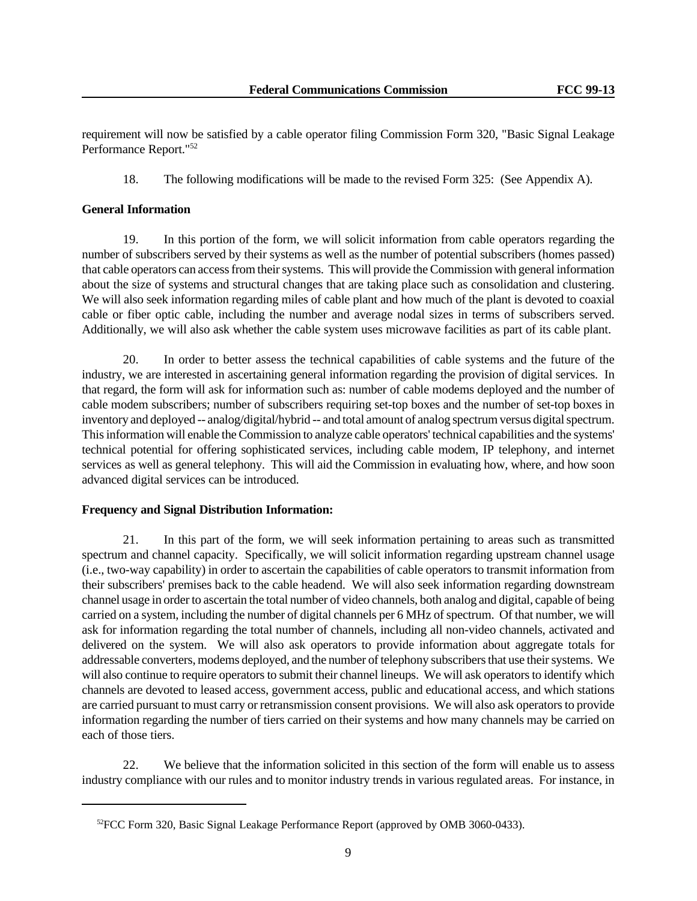requirement will now be satisfied by a cable operator filing Commission Form 320, "Basic Signal Leakage Performance Report."<sup>52</sup>

18. The following modifications will be made to the revised Form 325: (See Appendix A).

## **General Information**

19. In this portion of the form, we will solicit information from cable operators regarding the number of subscribers served by their systems as well as the number of potential subscribers (homes passed) that cable operators can access from their systems. This will provide the Commission with general information about the size of systems and structural changes that are taking place such as consolidation and clustering. We will also seek information regarding miles of cable plant and how much of the plant is devoted to coaxial cable or fiber optic cable, including the number and average nodal sizes in terms of subscribers served. Additionally, we will also ask whether the cable system uses microwave facilities as part of its cable plant.

20. In order to better assess the technical capabilities of cable systems and the future of the industry, we are interested in ascertaining general information regarding the provision of digital services. In that regard, the form will ask for information such as: number of cable modems deployed and the number of cable modem subscribers; number of subscribers requiring set-top boxes and the number of set-top boxes in inventory and deployed -- analog/digital/hybrid -- and total amount of analog spectrum versus digital spectrum. This information will enable the Commission to analyze cable operators' technical capabilities and the systems' technical potential for offering sophisticated services, including cable modem, IP telephony, and internet services as well as general telephony. This will aid the Commission in evaluating how, where, and how soon advanced digital services can be introduced.

#### **Frequency and Signal Distribution Information:**

21. In this part of the form, we will seek information pertaining to areas such as transmitted spectrum and channel capacity. Specifically, we will solicit information regarding upstream channel usage (i.e., two-way capability) in order to ascertain the capabilities of cable operators to transmit information from their subscribers' premises back to the cable headend. We will also seek information regarding downstream channel usage in order to ascertain the total number of video channels, both analog and digital, capable of being carried on a system, including the number of digital channels per 6 MHz of spectrum. Of that number, we will ask for information regarding the total number of channels, including all non-video channels, activated and delivered on the system. We will also ask operators to provide information about aggregate totals for addressable converters, modems deployed, and the number of telephony subscribers that use their systems. We will also continue to require operators to submit their channel lineups. We will ask operators to identify which channels are devoted to leased access, government access, public and educational access, and which stations are carried pursuant to must carry or retransmission consent provisions. We will also ask operators to provide information regarding the number of tiers carried on their systems and how many channels may be carried on each of those tiers.

22. We believe that the information solicited in this section of the form will enable us to assess industry compliance with our rules and to monitor industry trends in various regulated areas. For instance, in

<sup>52</sup>FCC Form 320, Basic Signal Leakage Performance Report (approved by OMB 3060-0433).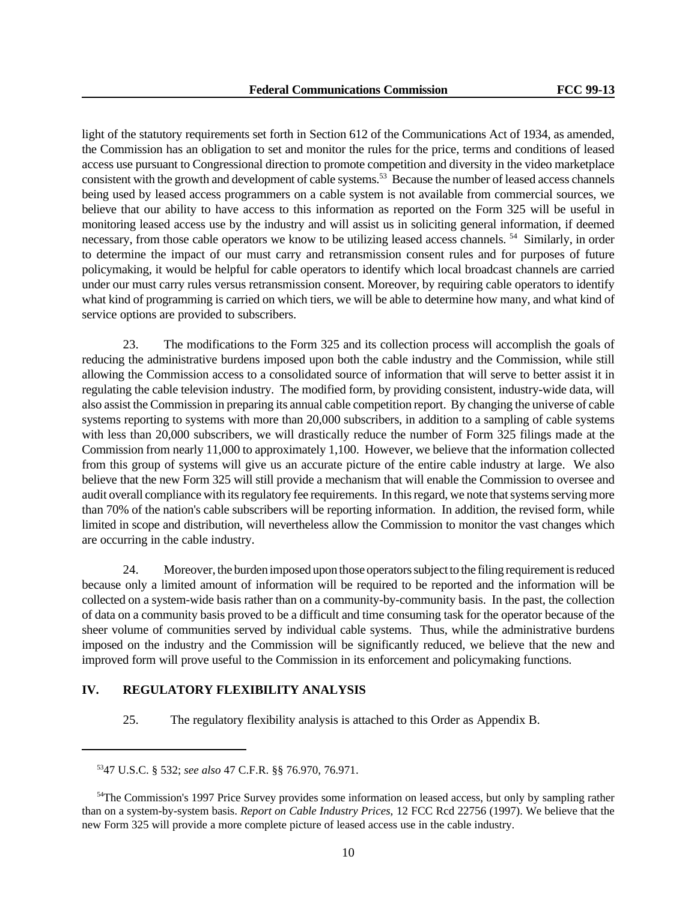light of the statutory requirements set forth in Section 612 of the Communications Act of 1934, as amended, the Commission has an obligation to set and monitor the rules for the price, terms and conditions of leased access use pursuant to Congressional direction to promote competition and diversity in the video marketplace consistent with the growth and development of cable systems.<sup>53</sup> Because the number of leased access channels being used by leased access programmers on a cable system is not available from commercial sources, we believe that our ability to have access to this information as reported on the Form 325 will be useful in monitoring leased access use by the industry and will assist us in soliciting general information, if deemed necessary, from those cable operators we know to be utilizing leased access channels.<sup>54</sup> Similarly, in order to determine the impact of our must carry and retransmission consent rules and for purposes of future policymaking, it would be helpful for cable operators to identify which local broadcast channels are carried under our must carry rules versus retransmission consent. Moreover, by requiring cable operators to identify what kind of programming is carried on which tiers, we will be able to determine how many, and what kind of service options are provided to subscribers.

23. The modifications to the Form 325 and its collection process will accomplish the goals of reducing the administrative burdens imposed upon both the cable industry and the Commission, while still allowing the Commission access to a consolidated source of information that will serve to better assist it in regulating the cable television industry. The modified form, by providing consistent, industry-wide data, will also assist the Commission in preparing its annual cable competition report. By changing the universe of cable systems reporting to systems with more than 20,000 subscribers, in addition to a sampling of cable systems with less than 20,000 subscribers, we will drastically reduce the number of Form 325 filings made at the Commission from nearly 11,000 to approximately 1,100. However, we believe that the information collected from this group of systems will give us an accurate picture of the entire cable industry at large. We also believe that the new Form 325 will still provide a mechanism that will enable the Commission to oversee and audit overall compliance with its regulatory fee requirements. In this regard, we note that systems serving more than 70% of the nation's cable subscribers will be reporting information. In addition, the revised form, while limited in scope and distribution, will nevertheless allow the Commission to monitor the vast changes which are occurring in the cable industry.

24. Moreover, the burden imposed upon those operators subject to the filing requirement is reduced because only a limited amount of information will be required to be reported and the information will be collected on a system-wide basis rather than on a community-by-community basis. In the past, the collection of data on a community basis proved to be a difficult and time consuming task for the operator because of the sheer volume of communities served by individual cable systems. Thus, while the administrative burdens imposed on the industry and the Commission will be significantly reduced, we believe that the new and improved form will prove useful to the Commission in its enforcement and policymaking functions.

# **IV. REGULATORY FLEXIBILITY ANALYSIS**

25. The regulatory flexibility analysis is attached to this Order as Appendix B.

<sup>53</sup>47 U.S.C. § 532; *see also* 47 C.F.R. §§ 76.970, 76.971.

<sup>&</sup>lt;sup>54</sup>The Commission's 1997 Price Survey provides some information on leased access, but only by sampling rather than on a system-by-system basis. *Report on Cable Industry Prices,* 12 FCC Rcd 22756 (1997). We believe that the new Form 325 will provide a more complete picture of leased access use in the cable industry.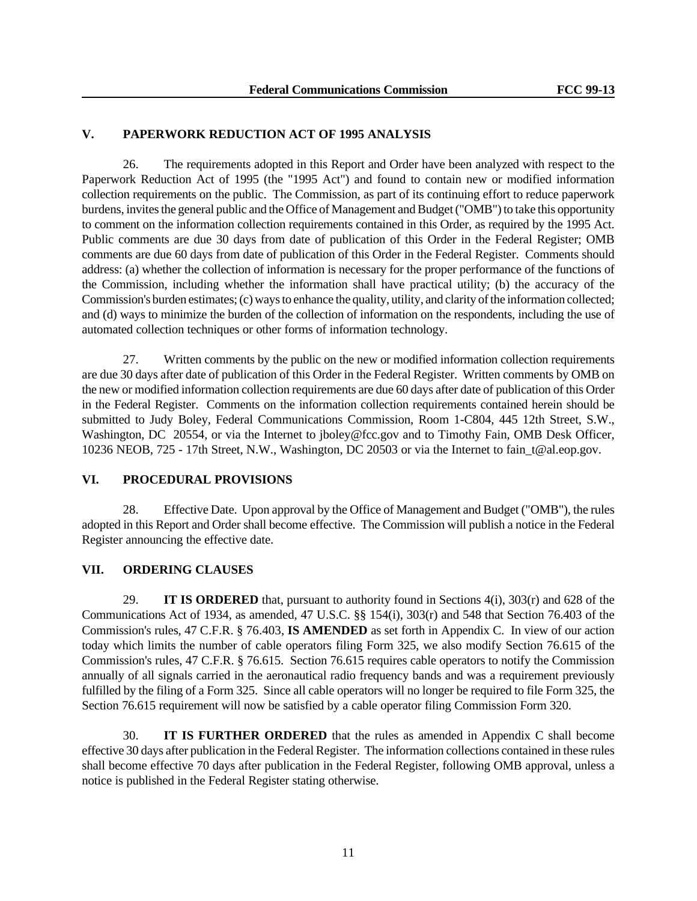# **V. PAPERWORK REDUCTION ACT OF 1995 ANALYSIS**

26. The requirements adopted in this Report and Order have been analyzed with respect to the Paperwork Reduction Act of 1995 (the "1995 Act") and found to contain new or modified information collection requirements on the public. The Commission, as part of its continuing effort to reduce paperwork burdens, invites the general public and the Office of Management and Budget ("OMB") to take this opportunity to comment on the information collection requirements contained in this Order, as required by the 1995 Act. Public comments are due 30 days from date of publication of this Order in the Federal Register; OMB comments are due 60 days from date of publication of this Order in the Federal Register. Comments should address: (a) whether the collection of information is necessary for the proper performance of the functions of the Commission, including whether the information shall have practical utility; (b) the accuracy of the Commission's burden estimates; (c) ways to enhance the quality, utility, and clarity of the information collected; and (d) ways to minimize the burden of the collection of information on the respondents, including the use of automated collection techniques or other forms of information technology.

27. Written comments by the public on the new or modified information collection requirements are due 30 days after date of publication of this Order in the Federal Register. Written comments by OMB on the new or modified information collection requirements are due 60 days after date of publication of this Order in the Federal Register. Comments on the information collection requirements contained herein should be submitted to Judy Boley, Federal Communications Commission, Room 1-C804, 445 12th Street, S.W., Washington, DC 20554, or via the Internet to jboley@fcc.gov and to Timothy Fain, OMB Desk Officer, 10236 NEOB, 725 - 17th Street, N.W., Washington, DC 20503 or via the Internet to fain\_t@al.eop.gov.

#### **VI. PROCEDURAL PROVISIONS**

28. Effective Date. Upon approval by the Office of Management and Budget ("OMB"), the rules adopted in this Report and Order shall become effective. The Commission will publish a notice in the Federal Register announcing the effective date.

# **VII. ORDERING CLAUSES**

29. **IT IS ORDERED** that, pursuant to authority found in Sections 4(i), 303(r) and 628 of the Communications Act of 1934, as amended, 47 U.S.C. §§ 154(i), 303(r) and 548 that Section 76.403 of the Commission's rules, 47 C.F.R. § 76.403, **IS AMENDED** as set forth in Appendix C. In view of our action today which limits the number of cable operators filing Form 325, we also modify Section 76.615 of the Commission's rules, 47 C.F.R. § 76.615. Section 76.615 requires cable operators to notify the Commission annually of all signals carried in the aeronautical radio frequency bands and was a requirement previously fulfilled by the filing of a Form 325. Since all cable operators will no longer be required to file Form 325, the Section 76.615 requirement will now be satisfied by a cable operator filing Commission Form 320.

30. **IT IS FURTHER ORDERED** that the rules as amended in Appendix C shall become effective 30 days after publication in the Federal Register. The information collections contained in these rules shall become effective 70 days after publication in the Federal Register, following OMB approval, unless a notice is published in the Federal Register stating otherwise.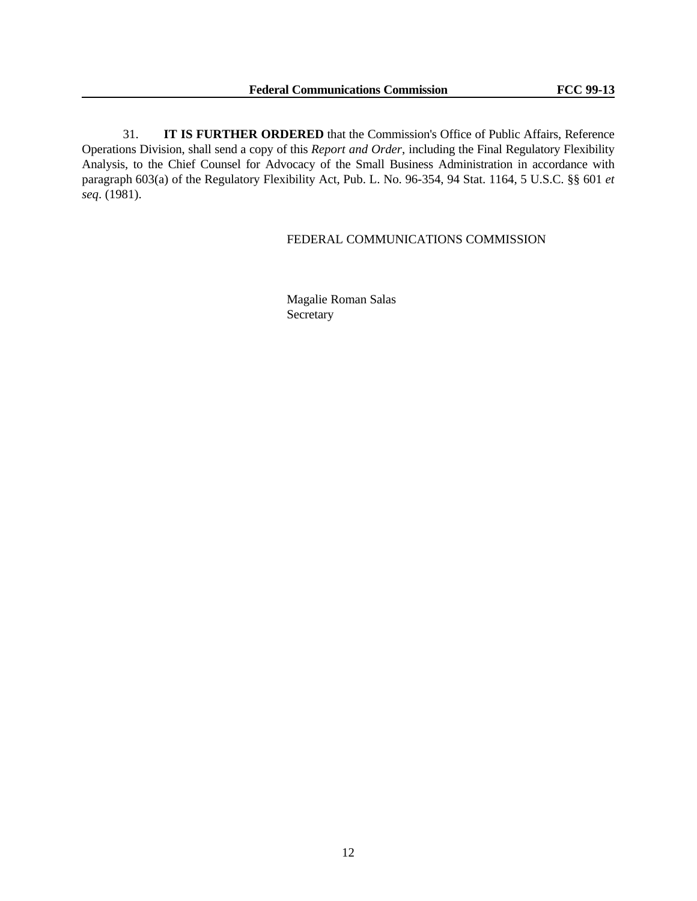31. **IT IS FURTHER ORDERED** that the Commission's Office of Public Affairs, Reference Operations Division, shall send a copy of this *Report and Order*, including the Final Regulatory Flexibility Analysis, to the Chief Counsel for Advocacy of the Small Business Administration in accordance with paragraph 603(a) of the Regulatory Flexibility Act, Pub. L. No. 96-354, 94 Stat. 1164, 5 U.S.C. §§ 601 *et seq*. (1981).

# FEDERAL COMMUNICATIONS COMMISSION

Magalie Roman Salas Secretary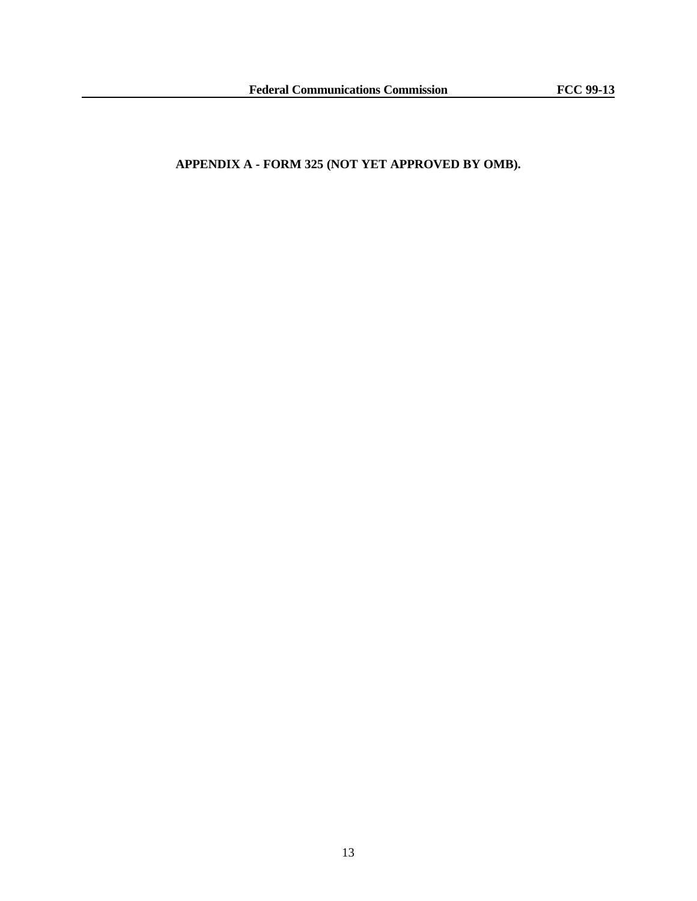# **APPENDIX A - FORM 325 (NOT YET APPROVED BY OMB).**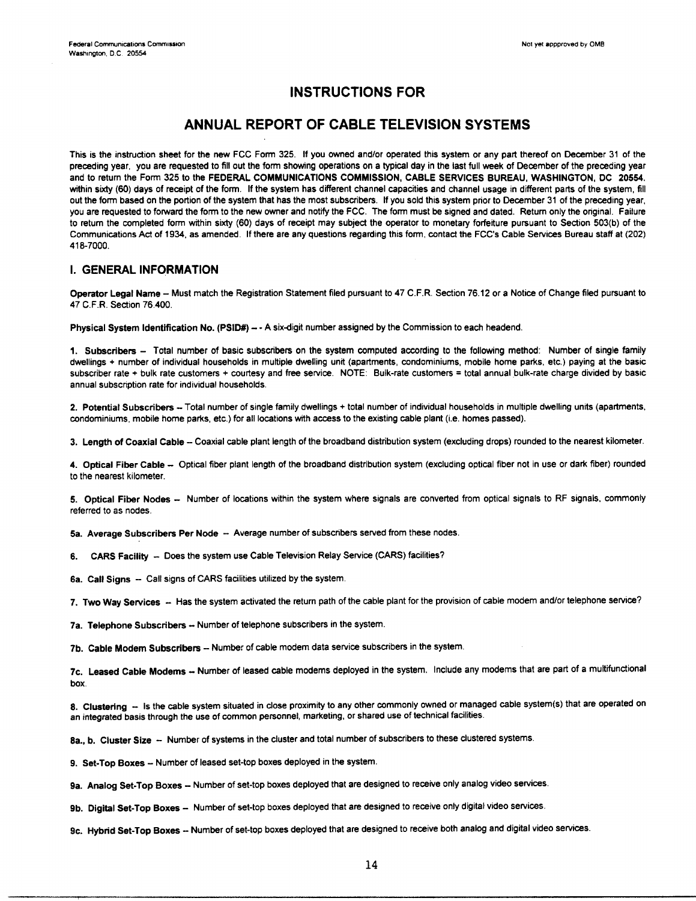# **INSTRUCTIONS FOR**

# ANNUAL REPORT OF CABLE TELEVISION SYSTEMS

This is the instruction sheet for the new FCC Form 325. If you owned and/or operated this system or any part thereof on December 31 of the preceding year, you are requested to fill out the form showing operations on a typical day in the last full week of December of the preceding year and to return the Form 325 to the FEDERAL COMMUNICATIONS COMMISSION, CABLE SERVICES BUREAU, WASHINGTON, DC 20554. within sixty (60) days of receipt of the form. If the system has different channel capacities and channel usage in different parts of the system, fill out the form based on the portion of the system that has the most subscribers. If you sold this system prior to December 31 of the preceding year, you are requested to forward the form to the new owner and notify the FCC. The form must be signed and dated. Return only the original. Failure to return the completed form within sixty (60) days of receipt may subject the operator to monetary forfeiture pursuant to Section 503(b) of the Communications Act of 1934, as amended. If there are any questions regarding this form, contact the FCC's Cable Services Bureau staff at (202) 418-7000.

#### I. GENERAL INFORMATION

Operator Legal Name - Must match the Registration Statement filed pursuant to 47 C.F.R. Section 76.12 or a Notice of Change filed pursuant to 47 C.F.R. Section 76.400.

Physical System Identification No. (PSID#) - - A six-digit number assigned by the Commission to each headend.

1. Subscribers - Total number of basic subscribers on the system computed according to the following method: Number of single family dwellings + number of individual households in multiple dwelling unit (apartments, condominiums, mobile home parks, etc.) paying at the basic subscriber rate + bulk rate customers + courtesy and free service. NOTE: Bulk-rate customers = total annual bulk-rate charge divided by basic annual subscription rate for individual households.

2. Potential Subscribers -- Total number of single family dwellings + total number of individual households in multiple dwelling units (apartments, condominiums, mobile home parks, etc.) for all locations with access to the existing cable plant (i.e. homes passed).

3. Length of Coaxial Cable -- Coaxial cable plant length of the broadband distribution system (excluding drops) rounded to the nearest kilometer.

4. Optical Fiber Cable -- Optical fiber plant length of the broadband distribution system (excluding optical fiber not in use or dark fiber) rounded to the nearest kilometer.

5. Optical Fiber Nodes -- Number of locations within the system where signals are converted from optical signals to RF signals, commonly referred to as nodes.

5a. Average Subscribers Per Node -- Average number of subscribers served from these nodes.

CARS Facility - Does the system use Cable Television Relay Service (CARS) facilities? 6.

6a. Call Signs - Call signs of CARS facilities utilized by the system.

7. Two Way Services - Has the system activated the return path of the cable plant for the provision of cable modem and/or telephone service?

7a. Telephone Subscribers -- Number of telephone subscribers in the system.

7b. Cable Modem Subscribers -- Number of cable modem data service subscribers in the system.

7c. Leased Cable Modems -- Number of leased cable modems deployed in the system. Include any modems that are part of a multifunctional hox.

8. Clustering -- Is the cable system situated in close proximity to any other commonly owned or managed cable system(s) that are operated on an integrated basis through the use of common personnel, marketing, or shared use of technical facilities.

8a., b. Cluster Size - Number of systems in the cluster and total number of subscribers to these clustered systems.

9. Set-Top Boxes - Number of leased set-top boxes deployed in the system.

9a. Analog Set-Top Boxes -- Number of set-top boxes deployed that are designed to receive only analog video services.

9b. Digital Set-Top Boxes -- Number of set-top boxes deployed that are designed to receive only digital video services.

9c. Hybrid Set-Top Boxes -- Number of set-top boxes deployed that are designed to receive both analog and digital video services.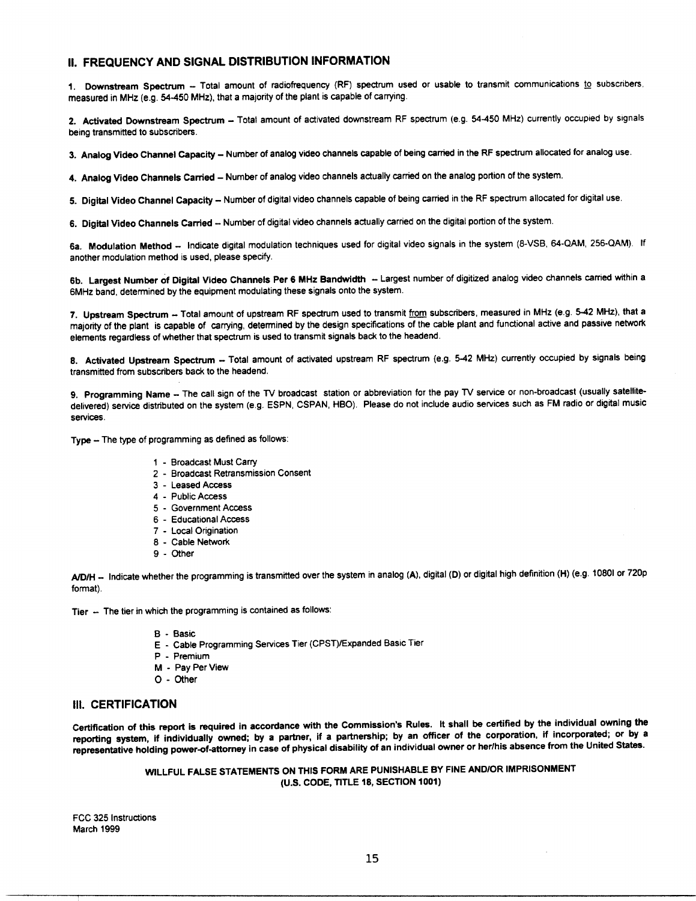# II. FREQUENCY AND SIGNAL DISTRIBUTION INFORMATION

1. Downstream Spectrum -- Total amount of radiofrequency (RF) spectrum used or usable to transmit communications to subscribers, measured in MHz (e.g. 54-450 MHz), that a majority of the plant is capable of carrying.

2. Activated Downstream Spectrum - Total amount of activated downstream RF spectrum (e.g. 54-450 MHz) currently occupied by signals being transmitted to subscribers.

3. Analog Video Channel Capacity - Number of analog video channels capable of being carried in the RF spectrum allocated for analog use.

4. Analog Video Channels Carried - Number of analog video channels actually carried on the analog portion of the system.

5. Digital Video Channel Capacity - Number of digital video channels capable of being carried in the RF spectrum allocated for digital use.

6. Digital Video Channels Carried -- Number of digital video channels actually carried on the digital portion of the system.

6a. Modulation Method -- Indicate digital modulation techniques used for digital video signals in the system (8-VSB, 64-QAM, 256-QAM). If another modulation method is used, please specify.

6b. Largest Number of Digital Video Channels Per 6 MHz Bandwidth - Largest number of digitized analog video channels carried within a 6MHz band, determined by the equipment modulating these signals onto the system.

7. Upstream Spectrum -- Total amount of upstream RF spectrum used to transmit from subscribers, measured in MHz (e.g. 5-42 MHz), that a majority of the plant is capable of carrying, determined by the design specifications of the cable plant and functional active and passive network elements regardless of whether that spectrum is used to transmit signals back to the headend.

8. Activated Upstream Spectrum -- Total amount of activated upstream RF spectrum (e.g. 5-42 MHz) currently occupied by signals being transmitted from subscribers back to the headend.

9. Programming Name -- The call sign of the TV broadcast station or abbreviation for the pay TV service or non-broadcast (usually satellitedelivered) service distributed on the system (e.g. ESPN, CSPAN, HBO). Please do not include audio services such as FM radio or digital music **SANICAS** 

Type -- The type of programming as defined as follows:

- 1 Broadcast Must Carry
- 2 Broadcast Retransmission Consent
- 3 Leased Access
- 4 Public Access
- 5 Government Access
- 6 Educational Access
- 7 Local Origination
- 8 Cable Network
- 9 Other

A/D/H -- Indicate whether the programming is transmitted over the system in analog (A), digital (D) or digital high definition (H) (e.g. 1080I or 720p format).

Tier - The tier in which the programming is contained as follows:

- B Basic
- E Cable Programming Services Tier (CPST)/Expanded Basic Tier
- P Premium
- M Pay Per View
- O Other

#### **III. CERTIFICATION**

Certification of this report is required in accordance with the Commission's Rules. It shall be certified by the individual owning the reporting system, if individually owned; by a partner, if a partnership; by an officer of the corporation, if incorporated; or by a representative holding power-of-attorney in case of physical disability of an individual owner or her/his absence from the United States.

> WILLFUL FALSE STATEMENTS ON THIS FORM ARE PUNISHABLE BY FINE AND/OR IMPRISONMENT (U.S. CODE. TITLE 18, SECTION 1001)

FCC 325 Instructions March 1999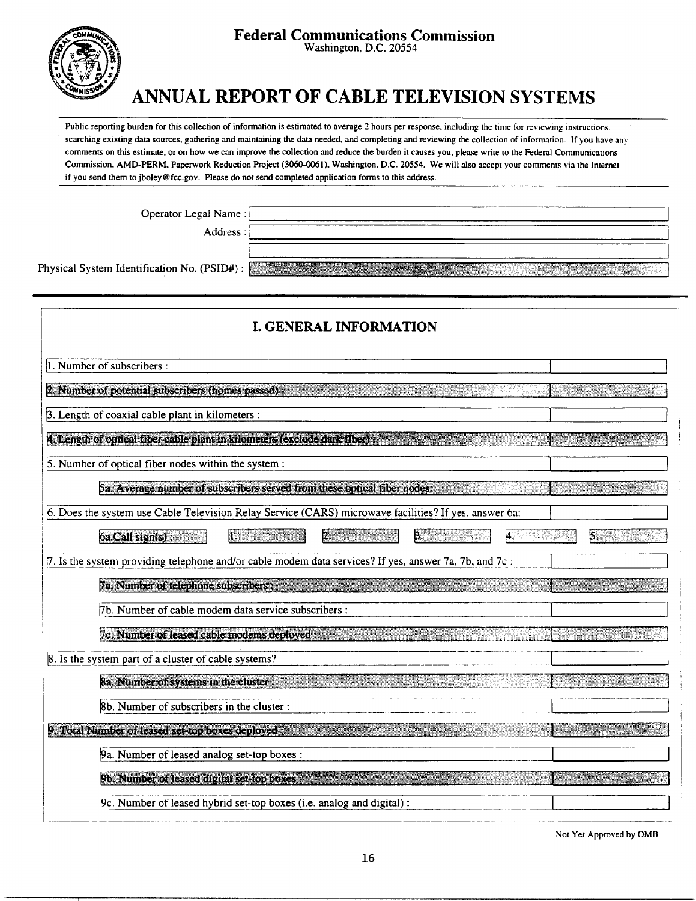

# **Federal Communications Commission**

Washington, D.C. 20554

# ANNUAL REPORT OF CABLE TELEVISION SYSTEMS

Public reporting burden for this collection of information is estimated to average 2 hours per response, including the time for reviewing instructions, searching existing data sources, gathering and maintaining the data needed, and completing and reviewing the collection of information. If you have any comments on this estimate, or on how we can improve the collection and reduce the burden it causes you, please write to the Federal Communications Commission, AMD-PERM, Paperwork Reduction Project (3060-0061), Washington, D.C. 20554. We will also accept your comments via the Internet if you send them to jboley@fcc.gov. Please do not send completed application forms to this address.

Operator Legal Name:

Address:

Physical System Identification No. (PSID#):

| <b>I. GENERAL INFORMATION</b>                                                                          |  |  |  |  |  |
|--------------------------------------------------------------------------------------------------------|--|--|--|--|--|
| Number of subscribers:                                                                                 |  |  |  |  |  |
| 2. Number of potential subscribers (homes passed):                                                     |  |  |  |  |  |
| 3. Length of coaxial cable plant in kilometers :                                                       |  |  |  |  |  |
| 4. Length of optical fiber cable plant in kilometers (exclude dark fiber) :                            |  |  |  |  |  |
| 5. Number of optical fiber nodes within the system :                                                   |  |  |  |  |  |
| 5a. Average number of subscribers served from these optical fiber nodes:                               |  |  |  |  |  |
| 6. Does the system use Cable Television Relay Service (CARS) microwave facilities? If yes, answer 6a:  |  |  |  |  |  |
| B.<br>6a.Call sign(s):                                                                                 |  |  |  |  |  |
| 7. Is the system providing telephone and/or cable modem data services? If yes, answer 7a, 7b, and 7c : |  |  |  |  |  |
| 7a. Number of telephone subscribers:                                                                   |  |  |  |  |  |
| 7b. Number of cable modem data service subscribers :                                                   |  |  |  |  |  |
| 7c. Number of leased cable modems deployed:                                                            |  |  |  |  |  |
| 8. Is the system part of a cluster of cable systems?                                                   |  |  |  |  |  |
| 8a. Number of systems in the cluster:                                                                  |  |  |  |  |  |
| 8b. Number of subscribers in the cluster :                                                             |  |  |  |  |  |
| 9. Total Number of leased set-top boxes deployed                                                       |  |  |  |  |  |
| 9a. Number of leased analog set-top boxes :                                                            |  |  |  |  |  |
| 9b. Number of leased digital set-top boxes                                                             |  |  |  |  |  |
| 9c. Number of leased hybrid set-top boxes (i.e. analog and digital) :                                  |  |  |  |  |  |

Not Yet Approved by OMB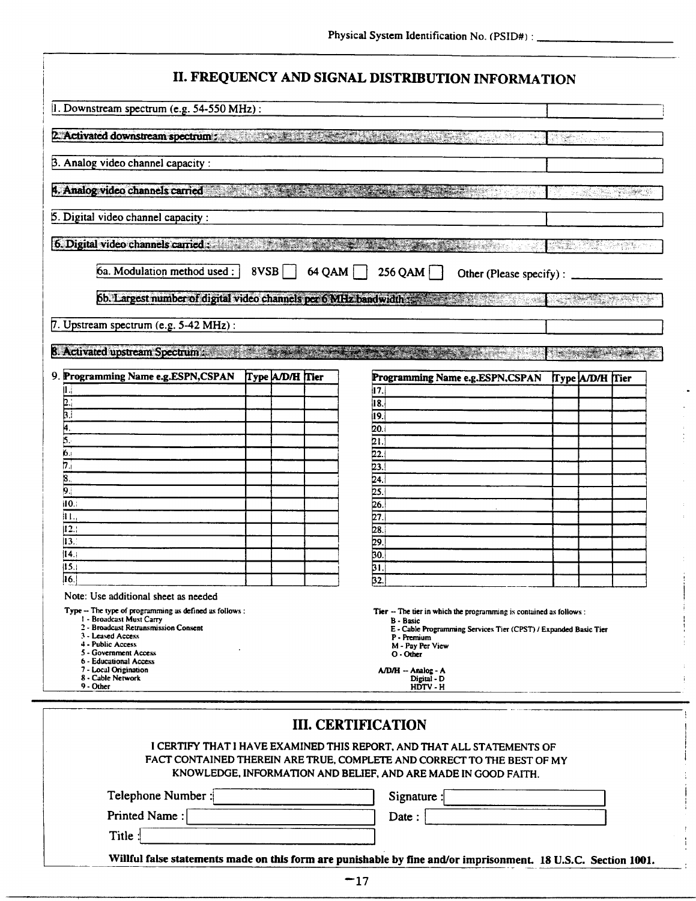|                                                                                                                                                                                                                                                                                      |                  | II. FREQUENCY AND SIGNAL DISTRIBUTION INFORMATION                                                                                                                                                                                                                   |                     |
|--------------------------------------------------------------------------------------------------------------------------------------------------------------------------------------------------------------------------------------------------------------------------------------|------------------|---------------------------------------------------------------------------------------------------------------------------------------------------------------------------------------------------------------------------------------------------------------------|---------------------|
| 1. Downstream spectrum (e.g. 54-550 MHz):                                                                                                                                                                                                                                            |                  |                                                                                                                                                                                                                                                                     |                     |
| 2. Activated downstream spectrum; and the state of the state of the state of the state of the state of the state of the state of the state of the state of the state of the state of the state of the state of the state of th                                                       |                  |                                                                                                                                                                                                                                                                     | I finns an          |
| 3. Analog video channel capacity :                                                                                                                                                                                                                                                   |                  |                                                                                                                                                                                                                                                                     |                     |
| 4. Analog video channels carried and the state of the state of the state of the state of the state of the state of the state of the state of the state of the state of the state of the state of the state of the state of the                                                       |                  |                                                                                                                                                                                                                                                                     | 그 가수 있는 일반 동생이 있다.  |
| 5. Digital video channel capacity :                                                                                                                                                                                                                                                  |                  |                                                                                                                                                                                                                                                                     |                     |
| 6. Digital video channels carried: With the state of the state of the state of the state of the state of the state of                                                                                                                                                                |                  | ್ನ ಸ್ಪಷ್ಟೆ                                                                                                                                                                                                                                                          | 21. Stij 1940       |
| 6a. Modulation method used:                                                                                                                                                                                                                                                          | 8VSB<br>$64$ QAM | $256$ QAM $\Box$<br>Other (Please specify):                                                                                                                                                                                                                         |                     |
|                                                                                                                                                                                                                                                                                      |                  | 6b. Largest number of digital video channels per 6 MHz bandwidth as a state of the state of the                                                                                                                                                                     |                     |
| 7. Upstream spectrum (e.g. 5-42 MHz):                                                                                                                                                                                                                                                |                  |                                                                                                                                                                                                                                                                     |                     |
| 8. Activated upstream Spectrum : 2008 1999 1999 1999 1999 1999                                                                                                                                                                                                                       |                  |                                                                                                                                                                                                                                                                     | <u> San Maria A</u> |
| 9. Programming Name e.g.ESPN,CSPAN                                                                                                                                                                                                                                                   | Type A/D/H Tier  | Programming Name e.g.ESPN.CSPAN                                                                                                                                                                                                                                     | Type A/D/H Tier     |
| II.                                                                                                                                                                                                                                                                                  |                  | 117.                                                                                                                                                                                                                                                                |                     |
| $\frac{2}{3}$                                                                                                                                                                                                                                                                        |                  | 18.                                                                                                                                                                                                                                                                 |                     |
| 4.                                                                                                                                                                                                                                                                                   |                  | 19.                                                                                                                                                                                                                                                                 |                     |
| 5.                                                                                                                                                                                                                                                                                   |                  | 20.<br>21.                                                                                                                                                                                                                                                          |                     |
| ۴٥.                                                                                                                                                                                                                                                                                  |                  | 22.                                                                                                                                                                                                                                                                 |                     |
| 7.                                                                                                                                                                                                                                                                                   |                  | 23.                                                                                                                                                                                                                                                                 |                     |
| 18.                                                                                                                                                                                                                                                                                  |                  | 24.                                                                                                                                                                                                                                                                 |                     |
| 9.                                                                                                                                                                                                                                                                                   |                  | 25.                                                                                                                                                                                                                                                                 |                     |
| 110.:                                                                                                                                                                                                                                                                                |                  | 26.                                                                                                                                                                                                                                                                 |                     |
| Ш.,                                                                                                                                                                                                                                                                                  |                  | 27.                                                                                                                                                                                                                                                                 |                     |
| 12.                                                                                                                                                                                                                                                                                  |                  | 28.                                                                                                                                                                                                                                                                 |                     |
| 13.                                                                                                                                                                                                                                                                                  |                  | 29.                                                                                                                                                                                                                                                                 |                     |
| 14.                                                                                                                                                                                                                                                                                  |                  | 30.                                                                                                                                                                                                                                                                 |                     |
| 15.1                                                                                                                                                                                                                                                                                 |                  | $\frac{31}{32}$                                                                                                                                                                                                                                                     |                     |
| 16.<br>Note: Use additional sheet as needed                                                                                                                                                                                                                                          |                  |                                                                                                                                                                                                                                                                     |                     |
| Type $-$ The type of programming as defined as follows :<br>1 - Broadcast Must Carry<br>2 - Broadcast Retransmission Consent<br>3 - Leased Access<br>4 - Public Access<br>5 - Government Access<br>6 - Educational Access<br>7 - Local Origination<br>8 - Cable Network<br>9 - Other |                  | Tier -- The tier in which the programming is contained as follows :<br><b>B</b> - Basic<br>E - Cable Programming Services Tier (CPST) / Expanded Basic Tier<br>P - Premium<br>M - Pay Per View<br>$O \cdot$ Other<br>A/D/H -- Analog - A<br>Digital - D<br>HDTV - H |                     |
|                                                                                                                                                                                                                                                                                      |                  |                                                                                                                                                                                                                                                                     |                     |
|                                                                                                                                                                                                                                                                                      |                  | <b>III. CERTIFICATION</b><br>I CERTIFY THAT I HAVE EXAMINED THIS REPORT, AND THAT ALL STATEMENTS OF<br>FACT CONTAINED THEREIN ARE TRUE, COMPLETE AND CORRECT TO THE BEST OF MY<br>KNOWLEDGE, INFORMATION AND BELIEF, AND ARE MADE IN GOOD FAITH.                    |                     |
| Telephone Number:                                                                                                                                                                                                                                                                    |                  | Signature:                                                                                                                                                                                                                                                          |                     |
| Printed Name:                                                                                                                                                                                                                                                                        |                  | Date:                                                                                                                                                                                                                                                               |                     |

| Ħ<br>e . |  |  |  |  |
|----------|--|--|--|--|

 $\begin{array}{c} 1 \\ 1 \\ 2 \end{array}$ 

 $\begin{array}{c} \begin{array}{c} \begin{array}{c} \begin{array}{c} \end{array} \\ \end{array} \\ \begin{array}{c} \end{array} \end{array} \end{array}$ Ì.

 $\frac{1}{2}$ 

 $\bar{z}$ 

Willful false statements made on this form are punishable by fine and/or imprisonment. 18 U.S.C. Section 1001.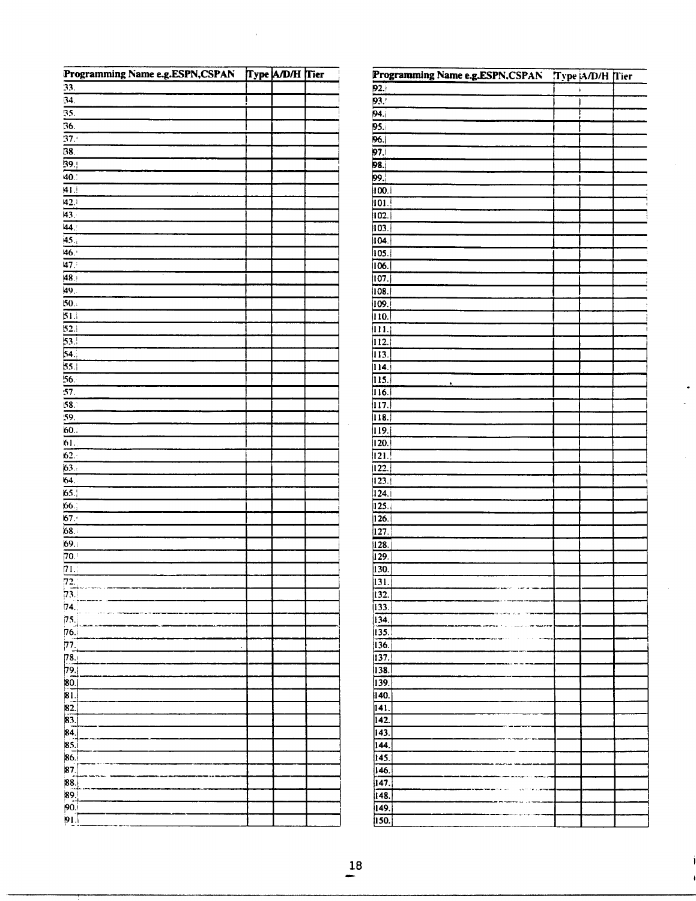| Programming Name e.g.ESPN,CSPAN | Type A/D/H Tier |  |
|---------------------------------|-----------------|--|
| 33.                             |                 |  |
| $\overline{34}$                 |                 |  |
| $\overline{35}$                 |                 |  |
| $\overline{36}$                 |                 |  |
| $\overline{37}$                 |                 |  |
| 38.                             |                 |  |
| 39.                             |                 |  |
| 40.1                            |                 |  |
| $\overline{41.1}$               |                 |  |
|                                 |                 |  |
| $\overline{42.1}$               |                 |  |
| $\overline{43}$ .               |                 |  |
| 44.                             |                 |  |
| 45.                             |                 |  |
| 46.                             |                 |  |
| 47.3                            |                 |  |
| 48.<br>Ŧ                        |                 |  |
| 49.                             |                 |  |
| 50.                             |                 |  |
| 51.1                            |                 |  |
| $\overline{52.}$                |                 |  |
| 53.                             |                 |  |
| $\overline{54}$                 |                 |  |
| 55.                             |                 |  |
| 56.                             |                 |  |
| $\overline{57}$                 |                 |  |
| $\overline{58}$ .               |                 |  |
| 59.                             |                 |  |
| 60.7                            |                 |  |
| 61.                             |                 |  |
| 62.                             |                 |  |
|                                 |                 |  |
| 63<br>64.                       |                 |  |
|                                 |                 |  |
| 65.                             |                 |  |
| 66.                             |                 |  |
| 67.5                            |                 |  |
| 68.                             |                 |  |
| 69.                             |                 |  |
| $\overline{70}$                 |                 |  |
| $\overline{71.7}$               |                 |  |
|                                 |                 |  |
| $\frac{72}{73}$                 |                 |  |
| 74.                             |                 |  |
| 75.                             |                 |  |
| 76.                             |                 |  |
| 77.                             |                 |  |
| 78.                             |                 |  |
| 79.                             |                 |  |
| 80.                             |                 |  |
| .<br>81.                        |                 |  |
| 82                              |                 |  |
| 83.                             |                 |  |
| 84.                             |                 |  |
| 85.                             |                 |  |
| 86.                             |                 |  |
| 87.                             |                 |  |
| 88.                             |                 |  |
| 89.                             |                 |  |
| 90.                             |                 |  |
|                                 |                 |  |
| pı.                             |                 |  |

| Programming Name e.g.ESPN.CSPAN | Type A/D/H Tier |  |
|---------------------------------|-----------------|--|
| 92.                             |                 |  |
| 93.                             |                 |  |
| <b>94.</b>                      |                 |  |
| PS.                             |                 |  |
| $\overline{96.}$                |                 |  |
| 97.I<br>98.                     |                 |  |
| 99.                             |                 |  |
| 100.                            |                 |  |
| IOI.                            |                 |  |
| 102.                            |                 |  |
| 103.                            |                 |  |
| 104.                            |                 |  |
| 105.                            |                 |  |
| 106.                            |                 |  |
| 107.                            |                 |  |
| 108.                            |                 |  |
| 109.                            |                 |  |
| 110.                            |                 |  |
| <u>пп.</u>                      |                 |  |
| 2.<br>113.                      |                 |  |
| 114.                            |                 |  |
| $\overline{115}$                |                 |  |
| ٠<br>$\overline{116}$ .         |                 |  |
| $\overline{117}$                |                 |  |
| 118.                            |                 |  |
| I 19.                           |                 |  |
| $\overline{120}$                |                 |  |
| $\overline{121}$                |                 |  |
| $\overline{122}$                |                 |  |
| 123.                            |                 |  |
| 124.                            |                 |  |
| 125.                            |                 |  |
| 126.<br>127.                    |                 |  |
| $\overline{128}$                |                 |  |
| $\overline{129}$ .              |                 |  |
| 130.                            |                 |  |
| 131.                            |                 |  |
| 132.                            |                 |  |
| 133.                            |                 |  |
| 134.                            |                 |  |
| 135.                            |                 |  |
| 136.                            |                 |  |
| 137.                            |                 |  |
| 138.                            |                 |  |
| 139.                            |                 |  |
| 140.                            |                 |  |
| 141.<br>142.                    |                 |  |
| 143.                            |                 |  |
| 144.                            |                 |  |
| 145.                            |                 |  |
| 146.                            |                 |  |
| 147.                            |                 |  |
| 148.                            |                 |  |
| 149.                            |                 |  |
| 150.                            |                 |  |
|                                 |                 |  |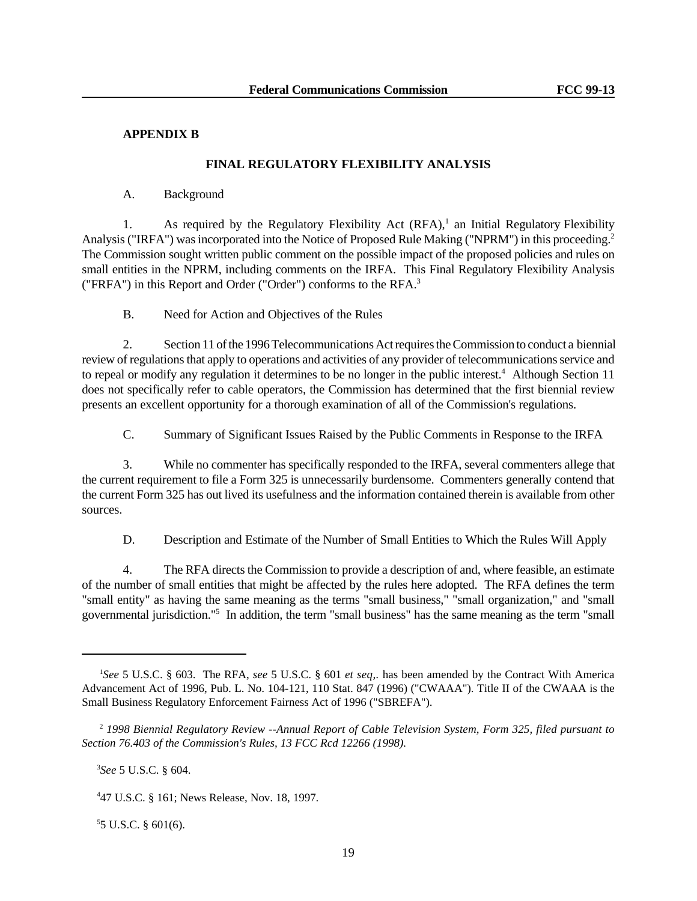## **APPENDIX B**

#### **FINAL REGULATORY FLEXIBILITY ANALYSIS**

#### A. Background

1. As required by the Regulatory Flexibility Act (RFA),<sup>1</sup> an Initial Regulatory Flexibility Analysis ("IRFA") was incorporated into the Notice of Proposed Rule Making ("NPRM") in this proceeding.<sup>2</sup> The Commission sought written public comment on the possible impact of the proposed policies and rules on small entities in the NPRM, including comments on the IRFA. This Final Regulatory Flexibility Analysis ("FRFA") in this Report and Order ("Order") conforms to the RFA.<sup>3</sup>

B. Need for Action and Objectives of the Rules

2. Section 11 of the 1996 Telecommunications Act requires the Commission to conduct a biennial review of regulations that apply to operations and activities of any provider of telecommunications service and to repeal or modify any regulation it determines to be no longer in the public interest.<sup>4</sup> Although Section 11 does not specifically refer to cable operators, the Commission has determined that the first biennial review presents an excellent opportunity for a thorough examination of all of the Commission's regulations.

C. Summary of Significant Issues Raised by the Public Comments in Response to the IRFA

3. While no commenter has specifically responded to the IRFA, several commenters allege that the current requirement to file a Form 325 is unnecessarily burdensome. Commenters generally contend that the current Form 325 has out lived its usefulness and the information contained therein is available from other sources.

D. Description and Estimate of the Number of Small Entities to Which the Rules Will Apply

4. The RFA directs the Commission to provide a description of and, where feasible, an estimate of the number of small entities that might be affected by the rules here adopted. The RFA defines the term "small entity" as having the same meaning as the terms "small business," "small organization," and "small governmental jurisdiction."<sup>5</sup> In addition, the term "small business" has the same meaning as the term "small

3 *See* 5 U.S.C. § 604.

 $55$  U.S.C. § 601(6).

<sup>1</sup> *See* 5 U.S.C. § 603. The RFA, *see* 5 U.S.C. § 601 *et seq,.* has been amended by the Contract With America Advancement Act of 1996, Pub. L. No. 104-121, 110 Stat. 847 (1996) ("CWAAA"). Title II of the CWAAA is the Small Business Regulatory Enforcement Fairness Act of 1996 ("SBREFA").

<sup>2</sup>  *1998 Biennial Regulatory Review --Annual Report of Cable Television System, Form 325, filed pursuant to Section 76.403 of the Commission's Rules, 13 FCC Rcd 12266 (1998).* 

<sup>4</sup> 47 U.S.C. § 161; News Release, Nov. 18, 1997.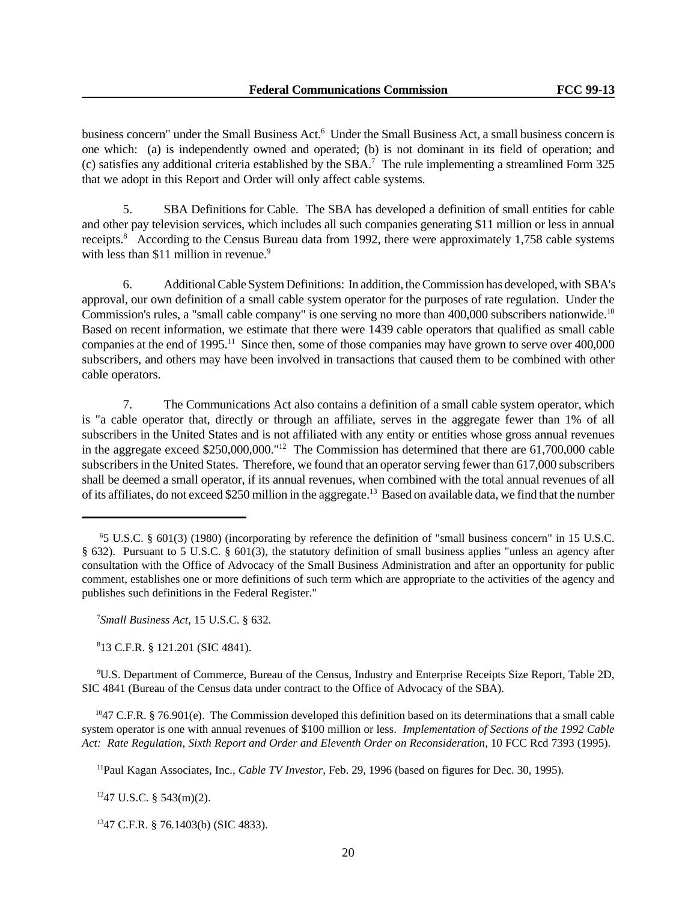business concern" under the Small Business Act.<sup>6</sup> Under the Small Business Act, a small business concern is one which: (a) is independently owned and operated; (b) is not dominant in its field of operation; and (c) satisfies any additional criteria established by the SBA.<sup>7</sup> The rule implementing a streamlined Form 325 that we adopt in this Report and Order will only affect cable systems.

5. SBA Definitions for Cable. The SBA has developed a definition of small entities for cable and other pay television services, which includes all such companies generating \$11 million or less in annual receipts.<sup>8</sup> According to the Census Bureau data from 1992, there were approximately 1,758 cable systems with less than  $$11$  million in revenue.<sup>9</sup>

6. Additional Cable System Definitions: In addition, the Commission has developed, with SBA's approval, our own definition of a small cable system operator for the purposes of rate regulation. Under the Commission's rules, a "small cable company" is one serving no more than 400,000 subscribers nationwide.<sup>10</sup> Based on recent information, we estimate that there were 1439 cable operators that qualified as small cable companies at the end of 1995.<sup>11</sup> Since then, some of those companies may have grown to serve over 400,000 subscribers, and others may have been involved in transactions that caused them to be combined with other cable operators.

7. The Communications Act also contains a definition of a small cable system operator, which is "a cable operator that, directly or through an affiliate, serves in the aggregate fewer than 1% of all subscribers in the United States and is not affiliated with any entity or entities whose gross annual revenues in the aggregate exceed \$250,000,000."<sup>12</sup> The Commission has determined that there are 61,700,000 cable subscribers in the United States. Therefore, we found that an operator serving fewer than 617,000 subscribers shall be deemed a small operator, if its annual revenues, when combined with the total annual revenues of all of its affiliates, do not exceed \$250 million in the aggregate.<sup>13</sup> Based on available data, we find that the number

8 13 C.F.R. § 121.201 (SIC 4841).

<sup>9</sup>U.S. Department of Commerce, Bureau of the Census, Industry and Enterprise Receipts Size Report, Table 2D, SIC 4841 (Bureau of the Census data under contract to the Office of Advocacy of the SBA).

 $^{10}$ 47 C.F.R. § 76.901(e). The Commission developed this definition based on its determinations that a small cable system operator is one with annual revenues of \$100 million or less. *Implementation of Sections of the 1992 Cable Act: Rate Regulation*, *Sixth Report and Order and Eleventh Order on Reconsideration*, 10 FCC Rcd 7393 (1995).

<sup>11</sup>Paul Kagan Associates, Inc., *Cable TV Investor*, Feb. 29, 1996 (based on figures for Dec. 30, 1995).

 $1247$  U.S.C. § 543(m)(2).

<sup>13</sup>47 C.F.R. § 76.1403(b) (SIC 4833).

<sup>6</sup> 5 U.S.C. § 601(3) (1980) (incorporating by reference the definition of "small business concern" in 15 U.S.C. § 632). Pursuant to 5 U.S.C. § 601(3), the statutory definition of small business applies "unless an agency after consultation with the Office of Advocacy of the Small Business Administration and after an opportunity for public comment, establishes one or more definitions of such term which are appropriate to the activities of the agency and publishes such definitions in the Federal Register."

<sup>7</sup> *Small Business Act*, 15 U.S.C. § 632*.*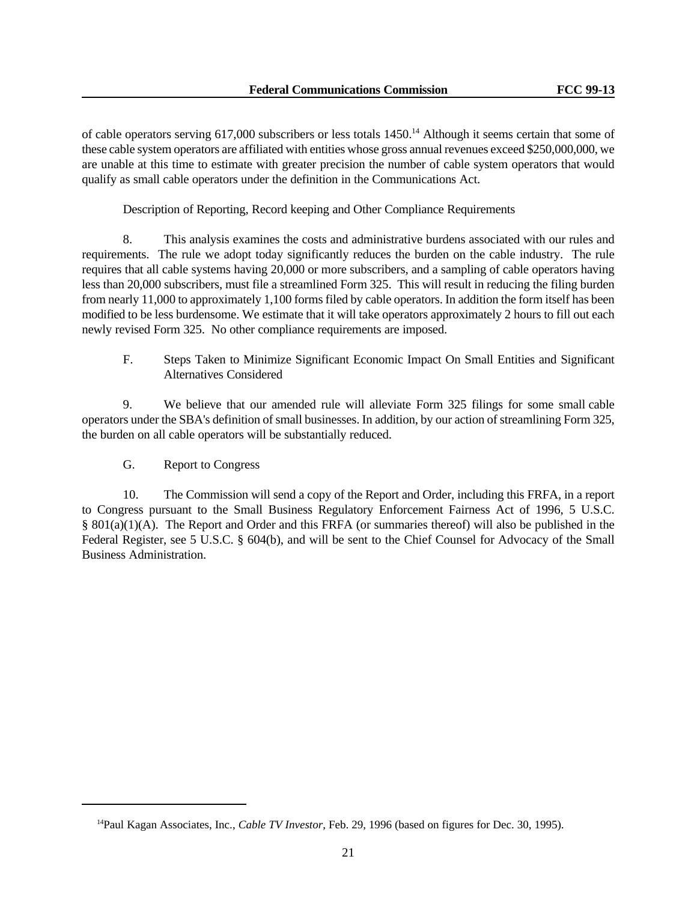of cable operators serving 617,000 subscribers or less totals 1450.<sup>14</sup> Although it seems certain that some of these cable system operators are affiliated with entities whose gross annual revenues exceed \$250,000,000, we are unable at this time to estimate with greater precision the number of cable system operators that would qualify as small cable operators under the definition in the Communications Act.

Description of Reporting, Record keeping and Other Compliance Requirements

8. This analysis examines the costs and administrative burdens associated with our rules and requirements. The rule we adopt today significantly reduces the burden on the cable industry. The rule requires that all cable systems having 20,000 or more subscribers, and a sampling of cable operators having less than 20,000 subscribers, must file a streamlined Form 325. This will result in reducing the filing burden from nearly 11,000 to approximately 1,100 forms filed by cable operators. In addition the form itself has been modified to be less burdensome. We estimate that it will take operators approximately 2 hours to fill out each newly revised Form 325. No other compliance requirements are imposed.

F. Steps Taken to Minimize Significant Economic Impact On Small Entities and Significant Alternatives Considered

9. We believe that our amended rule will alleviate Form 325 filings for some small cable operators under the SBA's definition of small businesses. In addition, by our action of streamlining Form 325, the burden on all cable operators will be substantially reduced.

G. Report to Congress

10. The Commission will send a copy of the Report and Order, including this FRFA, in a report to Congress pursuant to the Small Business Regulatory Enforcement Fairness Act of 1996, 5 U.S.C. § 801(a)(1)(A). The Report and Order and this FRFA (or summaries thereof) will also be published in the Federal Register, see 5 U.S.C. § 604(b), and will be sent to the Chief Counsel for Advocacy of the Small Business Administration.

<sup>14</sup>Paul Kagan Associates, Inc., *Cable TV Investor*, Feb. 29, 1996 (based on figures for Dec. 30, 1995).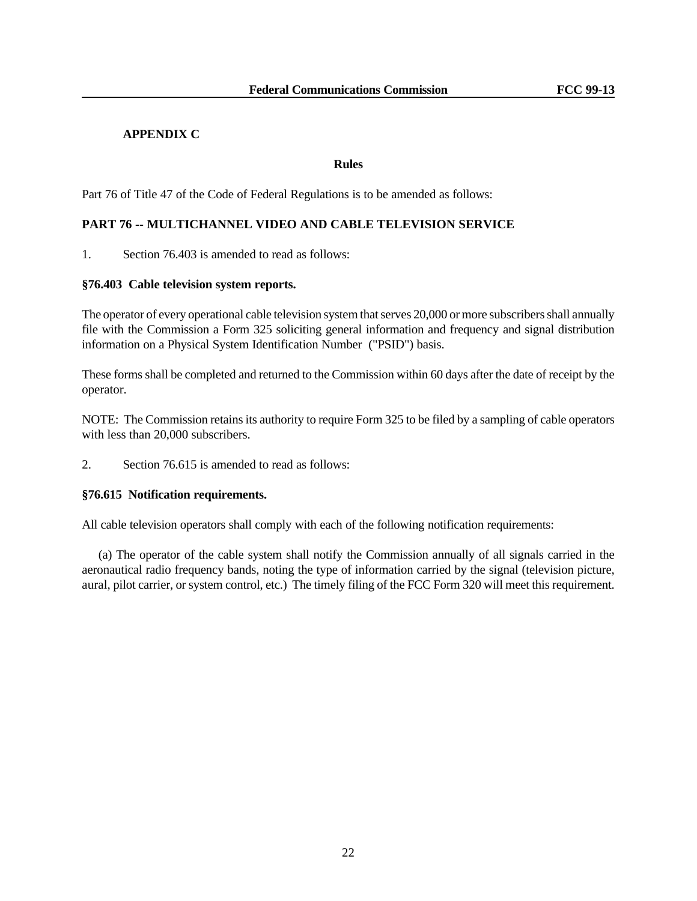# **APPENDIX C**

#### **Rules**

Part 76 of Title 47 of the Code of Federal Regulations is to be amended as follows:

# **PART 76 -- MULTICHANNEL VIDEO AND CABLE TELEVISION SERVICE**

1. Section 76.403 is amended to read as follows:

#### **§76.403 Cable television system reports.**

The operator of every operational cable television system that serves 20,000 or more subscribers shall annually file with the Commission a Form 325 soliciting general information and frequency and signal distribution information on a Physical System Identification Number ("PSID") basis.

These forms shall be completed and returned to the Commission within 60 days after the date of receipt by the operator.

NOTE: The Commission retains its authority to require Form 325 to be filed by a sampling of cable operators with less than 20,000 subscribers.

2. Section 76.615 is amended to read as follows:

#### **§76.615 Notification requirements.**

All cable television operators shall comply with each of the following notification requirements:

 (a) The operator of the cable system shall notify the Commission annually of all signals carried in the aeronautical radio frequency bands, noting the type of information carried by the signal (television picture, aural, pilot carrier, or system control, etc.) The timely filing of the FCC Form 320 will meet this requirement.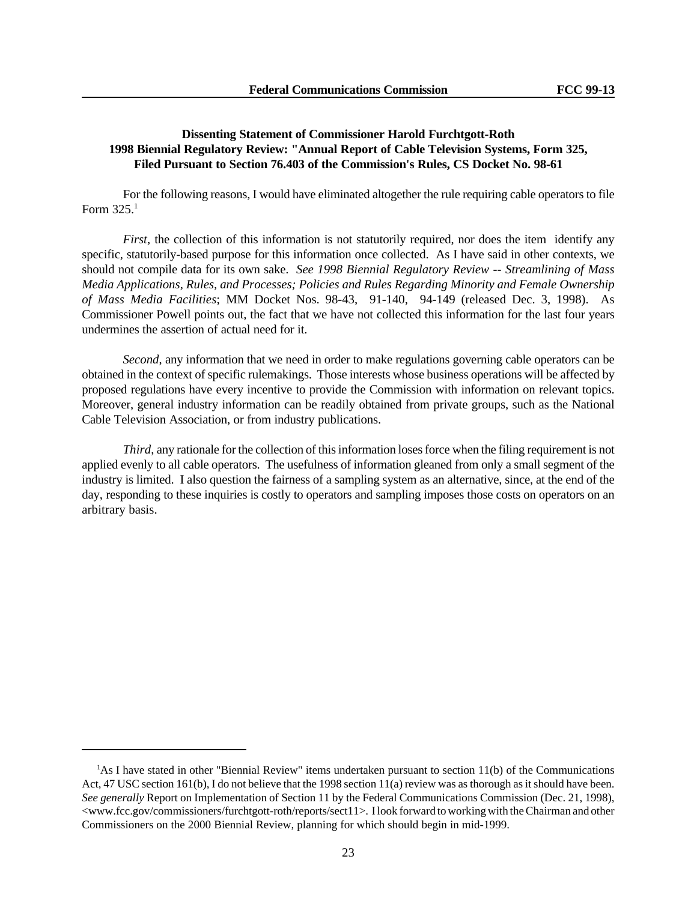# **Dissenting Statement of Commissioner Harold Furchtgott-Roth 1998 Biennial Regulatory Review: "Annual Report of Cable Television Systems, Form 325, Filed Pursuant to Section 76.403 of the Commission's Rules, CS Docket No. 98-61**

For the following reasons, I would have eliminated altogether the rule requiring cable operators to file Form  $325.<sup>1</sup>$ 

*First*, the collection of this information is not statutorily required, nor does the item identify any specific, statutorily-based purpose for this information once collected. As I have said in other contexts, we should not compile data for its own sake. *See 1998 Biennial Regulatory Review -- Streamlining of Mass Media Applications, Rules, and Processes; Policies and Rules Regarding Minority and Female Ownership of Mass Media Facilities*; MM Docket Nos. 98-43, 91-140, 94-149 (released Dec. 3, 1998). As Commissioner Powell points out, the fact that we have not collected this information for the last four years undermines the assertion of actual need for it.

*Second*, any information that we need in order to make regulations governing cable operators can be obtained in the context of specific rulemakings. Those interests whose business operations will be affected by proposed regulations have every incentive to provide the Commission with information on relevant topics. Moreover, general industry information can be readily obtained from private groups, such as the National Cable Television Association, or from industry publications.

*Third*, any rationale for the collection of this information loses force when the filing requirement is not applied evenly to all cable operators. The usefulness of information gleaned from only a small segment of the industry is limited. I also question the fairness of a sampling system as an alternative, since, at the end of the day, responding to these inquiries is costly to operators and sampling imposes those costs on operators on an arbitrary basis.

<sup>1</sup>As I have stated in other "Biennial Review" items undertaken pursuant to section 11(b) of the Communications Act, 47 USC section 161(b), I do not believe that the 1998 section 11(a) review was as thorough as it should have been. *See generally* Report on Implementation of Section 11 by the Federal Communications Commission (Dec. 21, 1998), <www.fcc.gov/commissioners/furchtgott-roth/reports/sect11>. I look forward to working with the Chairman and other Commissioners on the 2000 Biennial Review, planning for which should begin in mid-1999.